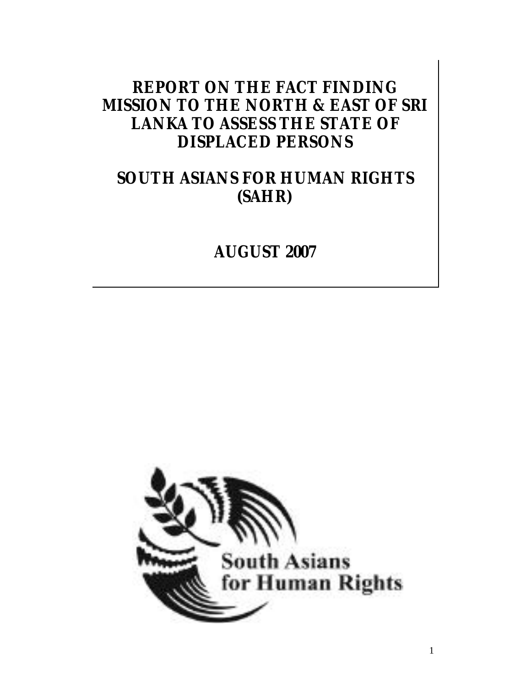# **REPORT ON THE FACT FINDING MISSION TO THE NORTH & EAST OF SRI LANKA TO ASSESS THE STATE OF DISPLACED PERSONS**

# **SOUTH ASIANS FOR HUMAN RIGHTS (SAHR)**

# **AUGUST 2007**

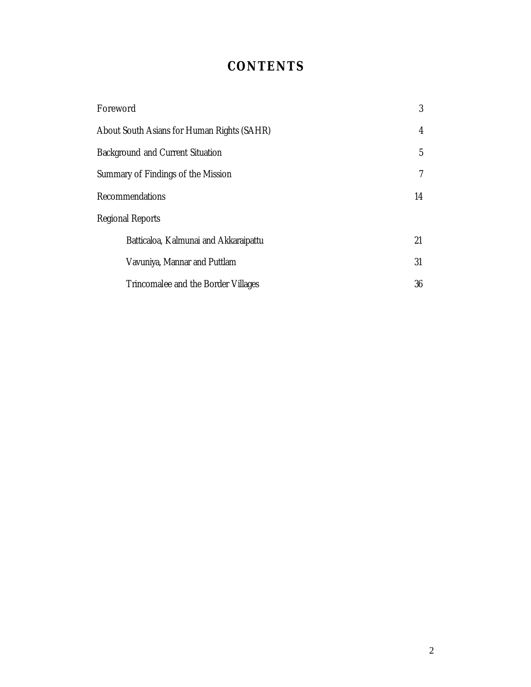# **CONTENTS**

| Foreword                                   | 3  |
|--------------------------------------------|----|
| About South Asians for Human Rights (SAHR) | 4  |
| <b>Background and Current Situation</b>    | 5  |
| Summary of Findings of the Mission         | 7  |
| Recommendations                            | 14 |
| <b>Regional Reports</b>                    |    |
| Batticaloa, Kalmunai and Akkaraipattu      | 21 |
| Vavuniya, Mannar and Puttlam               | 31 |
| Trincomalee and the Border Villages        | 36 |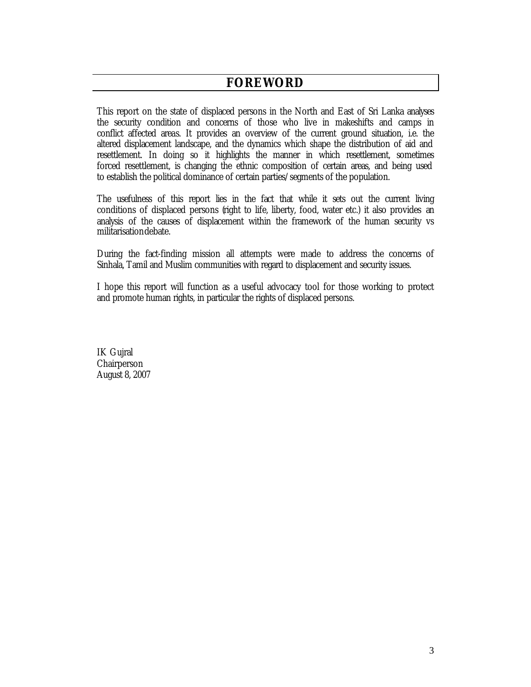# **FOREWORD**

This report on the state of displaced persons in the North and East of Sri Lanka analyses the security condition and concerns of those who live in makeshifts and camps in conflict affected areas. It provides an overview of the current ground situation, i.e. the altered displacement landscape, and the dynamics which shape the distribution of aid and resettlement. In doing so it highlights the manner in which resettlement, sometimes forced resettlement, is changing the ethnic composition of certain areas, and being used to establish the political dominance of certain parties/segments of the population.

The usefulness of this report lies in the fact that while it sets out the current living conditions of displaced persons (right to life, liberty, food, water etc.) it also provides an analysis of the causes of displacement within the framework of the human security vs militarisationdebate.

During the fact-finding mission all attempts were made to address the concerns of Sinhala, Tamil and Muslim communities with regard to displacement and security issues.

I hope this report will function as a useful advocacy tool for those working to protect and promote human rights, in particular the rights of displaced persons.

IK Gujral Chairperson August 8, 2007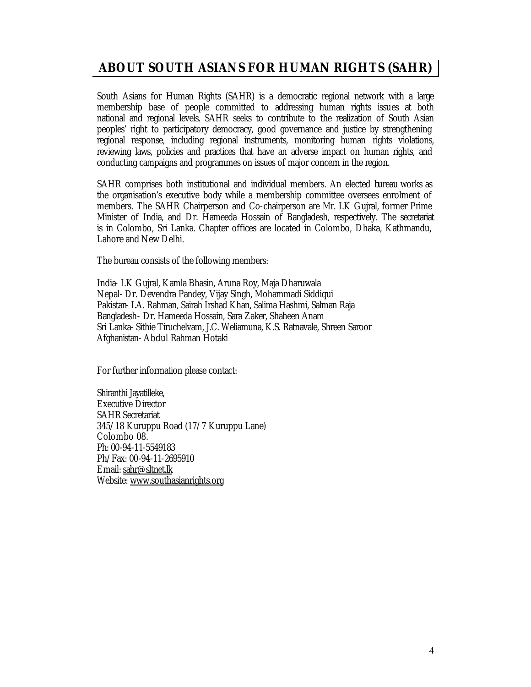# **ABOUT SOUTH ASIANS FOR HUMAN RIGHTS (SAHR)**

South Asians for Human Rights (SAHR) is a democratic regional network with a large membership base of people committed to addressing human rights issues at both national and regional levels. SAHR seeks to contribute to the realization of South Asian peoples' right to participatory democracy, good governance and justice by strengthening regional response, including regional instruments, monitoring human rights violations, reviewing laws, policies and practices that have an adverse impact on human rights, and conducting campaigns and programmes on issues of major concern in the region.

SAHR comprises both institutional and individual members. An elected bureau works as the organisation's executive body while a membership committee oversees enrolment of members. The SAHR Chairperson and Co-chairperson are Mr. I.K Gujral, former Prime Minister of India, and Dr. Hameeda Hossain of Bangladesh, respectively. The secretariat is in Colombo, Sri Lanka. Chapter offices are located in Colombo, Dhaka, Kathmandu, Lahore and New Delhi.

The bureau consists of the following members:

India- I.K Gujral, Kamla Bhasin, Aruna Roy, Maja Dharuwala Nepal- Dr. Devendra Pandey, Vijay Singh, Mohammadi Siddiqui Pakistan- I.A. Rahman, Sairah Irshad Khan, Salima Hashmi, Salman Raja Bangladesh- Dr. Hameeda Hossain, Sara Zaker, Shaheen Anam Sri Lanka- Sithie Tiruchelvam, J.C. Weliamuna, K.S. Ratnavale, Shreen Saroor Afghanistan- Abdul Rahman Hotaki

For further information please contact:

Shiranthi Jayatilleke, Executive Director SAHR Secretariat 345/18 Kuruppu Road (17/7 Kuruppu Lane) Colombo 08. Ph: 00-94-11-5549183 Ph/Fax: 00-94-11-2695910 Email: sahr@sltnet.lk Website: www.southasianrights.org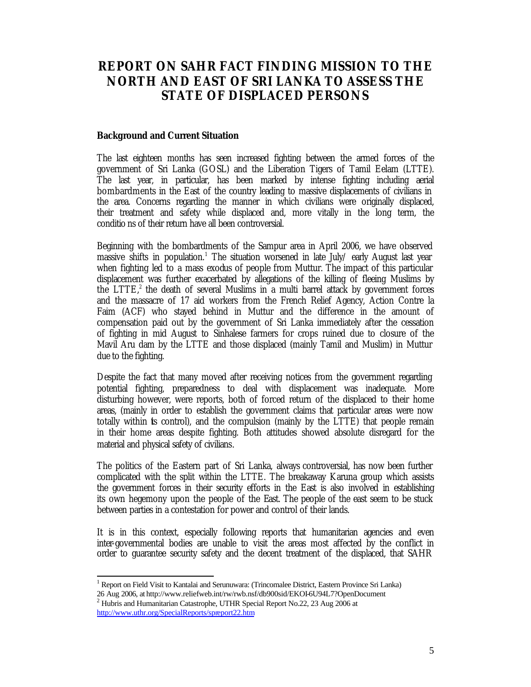# **REPORT ON SAHR FACT FINDING MISSION TO THE NORTH AND EAST OF SRI LANKA TO ASSESS THE STATE OF DISPLACED PERSONS**

#### **Background and Current Situation**

The last eighteen months has seen increased fighting between the armed forces of the government of Sri Lanka (GOSL) and the Liberation Tigers of Tamil Eelam (LTTE). The last year, in particular, has been marked by intense fighting including aerial bombardments in the East of the country leading to massive displacements of civilians in the area. Concerns regarding the manner in which civilians were originally displaced, their treatment and safety while displaced and, more vitally in the long term, the conditio ns of their return have all been controversial.

Beginning with the bombardments of the Sampur area in April 2006, we have observed massive shifts in population.<sup>1</sup> The situation worsened in late July/ early August last year when fighting led to a mass exodus of people from Muttur. The impact of this particular displacement was further exacerbated by allegations of the killing of fleeing Muslims by the LTTE,<sup>2</sup> the death of several Muslims in a multi barrel attack by government forces and the massacre of 17 aid workers from the French Relief Agency, Action Contre la Faim (ACF) who stayed behind in Muttur and the difference in the amount of compensation paid out by the government of Sri Lanka immediately after the cessation of fighting in mid August to Sinhalese farmers for crops ruined due to closure of the Mavil Aru dam by the LTTE and those displaced (mainly Tamil and Muslim) in Muttur due to the fighting.

Despite the fact that many moved after receiving notices from the government regarding potential fighting, preparedness to deal with displacement was inadequate. More disturbing however, were reports, both of forced return of the displaced to their home areas, (mainly in order to establish the government claims that particular areas were now totally within is control), and the compulsion (mainly by the LTTE) that people remain in their home areas despite fighting. Both attitudes showed absolute disregard for the material and physical safety of civilians.

The politics of the Eastern part of Sri Lanka, always controversial, has now been further complicated with the split within the LTTE. The breakaway Karuna group which assists the government forces in their security efforts in the East is also involved in establishing its own hegemony upon the people of the East. The people of the east seem to be stuck between parties in a contestation for power and control of their lands.

It is in this context, especially following reports that humanitarian agencies and even inter-governmental bodies are unable to visit the areas most affected by the conflict in order to guarantee security safety and the decent treatment of the displaced, that SAHR

<sup>1</sup> Report on Field Visit to Kantalai and Serunuwara: (Trincomalee District, Eastern Province Sri Lanka) 26 Aug 2006, at http://www.reliefweb.int/rw/rwb.nsf/db900sid/EKOI-6U94L7?OpenDocument

 $2$  Hubris and Humanitarian Catastrophe, UTHR Special Report No.22, 23 Aug 2006 at http://www.uthr.org/SpecialReports/spreport22.htm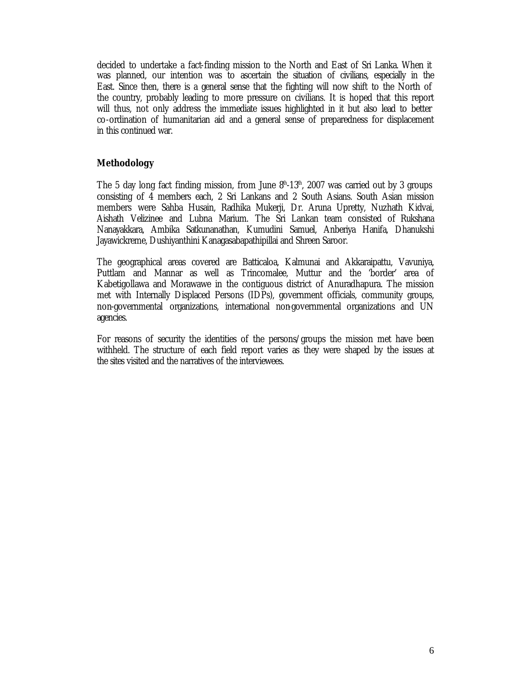decided to undertake a fact-finding mission to the North and East of Sri Lanka. When it was planned, our intention was to ascertain the situation of civilians, especially in the East. Since then, there is a general sense that the fighting will now shift to the North of the country, probably leading to more pressure on civilians. It is hoped that this report will thus, not only address the immediate issues highlighted in it but also lead to better co-ordination of humanitarian aid and a general sense of preparedness for displacement in this continued war.

# **Methodology**

The 5 day long fact finding mission, from June  $8<sup>th</sup>$ -13<sup>th</sup>, 2007 was carried out by 3 groups consisting of 4 members each, 2 Sri Lankans and 2 South Asians. South Asian mission members were Sahba Husain, Radhika Mukerji, Dr. Aruna Upretty, Nuzhath Kidvai, Aishath Velizinee and Lubna Marium. The Sri Lankan team consisted of Rukshana Nanayakkara, Ambika Satkunanathan, Kumudini Samuel, Anberiya Hanifa, Dhanukshi Jayawickreme, Dushiyanthini Kanagasabapathipillai and Shreen Saroor.

The geographical areas covered are Batticaloa, Kalmunai and Akkaraipattu, Vavuniya, Puttlam and Mannar as well as Trincomalee, Muttur and the 'border' area of Kabetigollawa and Morawawe in the contiguous district of Anuradhapura. The mission met with Internally Displaced Persons (IDPs), government officials, community groups, non-governmental organizations, international non-governmental organizations and UN agencies.

For reasons of security the identities of the persons/groups the mission met have been withheld. The structure of each field report varies as they were shaped by the issues at the sites visited and the narratives of the interviewees.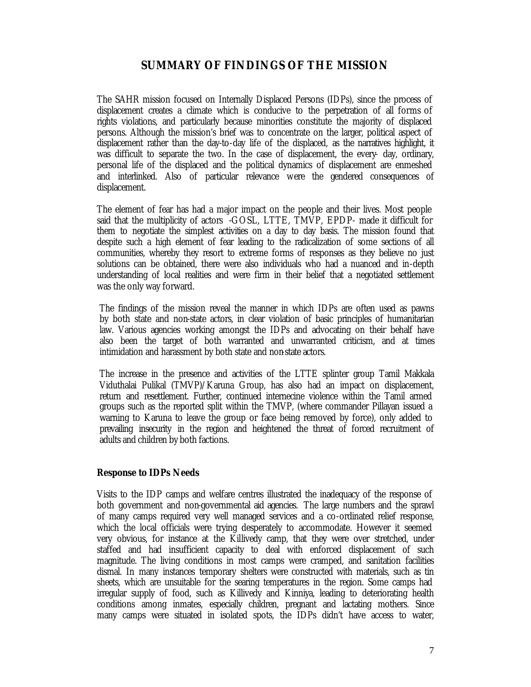# **SUMMARY OF FINDINGS OF THE MISSION**

The SAHR mission focused on Internally Displaced Persons (IDPs), since the process of displacement creates a climate which is conducive to the perpetration of all forms of rights violations, and particularly because minorities constitute the majority of displaced persons. Although the mission's brief was to concentrate on the larger, political aspect of displacement rather than the day-to-day life of the displaced, as the narratives highlight, it was difficult to separate the two. In the case of displacement, the every- day, ordinary, personal life of the displaced and the political dynamics of displacement are enmeshed and interlinked. Also of particular relevance were the gendered consequences of displacement.

The element of fear has had a major impact on the people and their lives. Most people said that the multiplicity of actors -GOSL, LTTE, TMVP, EPDP- made it difficult for them to negotiate the simplest activities on a day to day basis. The mission found that despite such a high element of fear leading to the radicalization of some sections of all communities, whereby they resort to extreme forms of responses as they believe no just solutions can be obtained, there were also individuals who had a nuanced and in-depth understanding of local realities and were firm in their belief that a negotiated settlement was the only way forward.

The findings of the mission reveal the manner in which IDPs are often used as pawns by both state and non-state actors, in clear violation of basic principles of humanitarian law. Various agencies working amongst the IDPs and advocating on their behalf have also been the target of both warranted and unwarranted criticism, and at times intimidation and harassment by both state and non-state actors.

The increase in the presence and activities of the LTTE splinter group Tamil Makkala Viduthalai Pulikal (TMVP)/Karuna Group, has also had an impact on displacement, return and resettlement. Further, continued internecine violence within the Tamil armed groups such as the reported split within the TMVP, (where commander Pillayan issued a warning to Karuna to leave the group or face being removed by force), only added to prevailing insecurity in the region and heightened the threat of forced recruitment of adults and children by both factions.

## **Response to IDPs Needs**

Visits to the IDP camps and welfare centres illustrated the inadequacy of the response of both government and non-governmental aid agencies. The large numbers and the sprawl of many camps required very well managed services and a co-ordinated relief response, which the local officials were trying desperately to accommodate. However it seemed very obvious, for instance at the Killivedy camp, that they were over stretched, under staffed and had insufficient capacity to deal with enforced displacement of such magnitude. The living conditions in most camps were cramped, and sanitation facilities dismal. In many instances temporary shelters were constructed with materials, such as tin sheets, which are unsuitable for the searing temperatures in the region. Some camps had irregular supply of food, such as Killivedy and Kinniya, leading to deteriorating health conditions among inmates, especially children, pregnant and lactating mothers. Since many camps were situated in isolated spots, the IDPs didn't have access to water,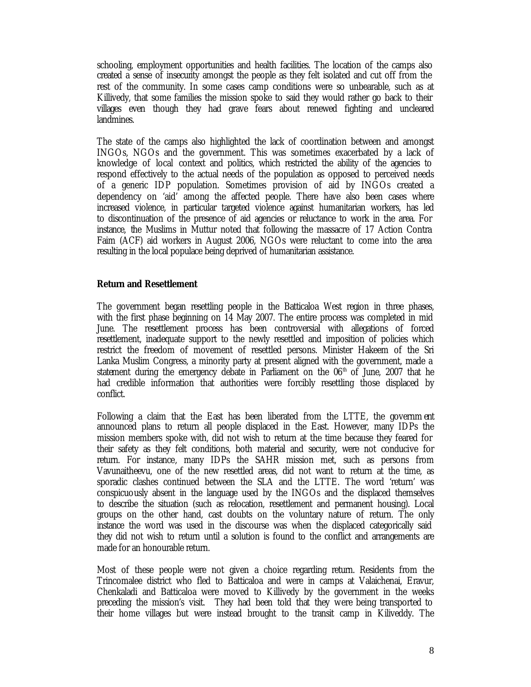schooling, employment opportunities and health facilities. The location of the camps also created a sense of insecurity amongst the people as they felt isolated and cut off from the rest of the community. In some cases camp conditions were so unbearable, such as at Killivedy, that some families the mission spoke to said they would rather go back to their villages even though they had grave fears about renewed fighting and uncleared landmines.

The state of the camps also highlighted the lack of coordination between and amongst INGOs, NGOs and the government. This was sometimes exacerbated by a lack of knowledge of local context and politics, which restricted the ability of the agencies to respond effectively to the actual needs of the population as opposed to perceived needs of a generic IDP population. Sometimes provision of aid by INGOs created a dependency on 'aid' among the affected people. There have also been cases where increased violence, in particular targeted violence against humanitarian workers, has led to discontinuation of the presence of aid agencies or reluctance to work in the area. For instance, the Muslims in Muttur noted that following the massacre of 17 Action Contra Faim (ACF) aid workers in August 2006, NGOs were reluctant to come into the area resulting in the local populace being deprived of humanitarian assistance.

## **Return and Resettlement**

The government began resettling people in the Batticaloa West region in three phases, with the first phase beginning on 14 May 2007. The entire process was completed in mid June. The resettlement process has been controversial with allegations of forced resettlement, inadequate support to the newly resettled and imposition of policies which restrict the freedom of movement of resettled persons. Minister Hakeem of the Sri Lanka Muslim Congress, a minority party at present aligned with the government, made a statement during the emergency debate in Parliament on the  $06<sup>th</sup>$  of June, 2007 that he had credible information that authorities were forcibly resettling those displaced by conflict.

Following a claim that the East has been liberated from the LTTE, the governm ent announced plans to return all people displaced in the East. However, many IDPs the mission members spoke with, did not wish to return at the time because they feared for their safety as they felt conditions, both material and security, were not conducive for return. For instance, many IDPs the SAHR mission met, such as persons from Vavunaitheevu, one of the new resettled areas, did not want to return at the time, as sporadic clashes continued between the SLA and the LTTE. The word 'return' was conspicuously absent in the language used by the INGOs and the displaced themselves to describe the situation (such as relocation, resettlement and permanent housing). Local groups on the other hand, cast doubts on the voluntary nature of return. The only instance the word was used in the discourse was when the displaced categorically said they did not wish to return until a solution is found to the conflict and arrangements are made for an honourable return.

Most of these people were not given a choice regarding return. Residents from the Trincomalee district who fled to Batticaloa and were in camps at Valaichenai, Eravur, Chenkaladi and Batticaloa were moved to Killivedy by the government in the weeks preceding the mission's visit. They had been told that they were being transported to their home villages but were instead brought to the transit camp in Kiliveddy. The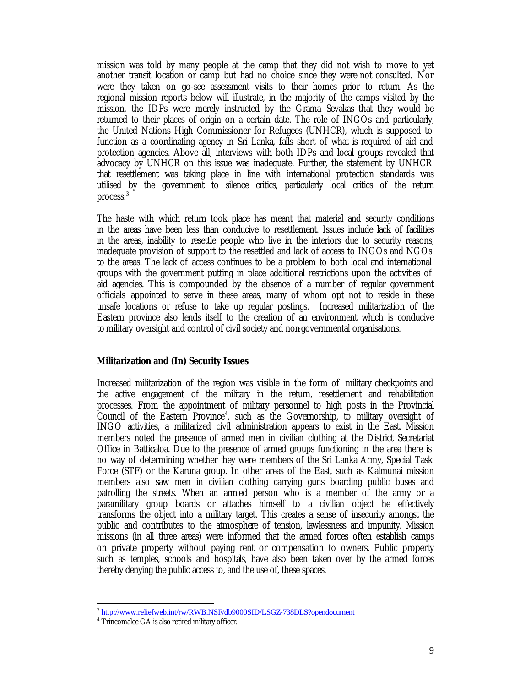mission was told by many people at the camp that they did not wish to move to yet another transit location or camp but had no choice since they were not consulted. Nor were they taken on go-see assessment visits to their homes prior to return. As the regional mission reports below will illustrate, in the majority of the camps visited by the mission, the IDPs were merely instructed by the Grama Sevakas that they would be returned to their places of origin on a certain date. The role of INGOs and particularly, the United Nations High Commissioner for Refugees (UNHCR), which is supposed to function as a coordinating agency in Sri Lanka, falls short of what is required of aid and protection agencies. Above all, interviews with both IDPs and local groups revealed that advocacy by UNHCR on this issue was inadequate. Further, the statement by UNHCR that resettlement was taking place in line with international protection standards was utilised by the government to silence critics, particularly local critics of the return process.<sup>3</sup>

The haste with which return took place has meant that material and security conditions in the areas have been less than conducive to resettlement. Issues include lack of facilities in the areas, inability to resettle people who live in the interiors due to security reasons, inadequate provision of support to the resettled and lack of access to INGOs and NGOs to the areas. The lack of access continues to be a problem to both local and international groups with the government putting in place additional restrictions upon the activities of aid agencies. This is compounded by the absence of a number of regular government officials appointed to serve in these areas, many of whom opt not to reside in these unsafe locations or refuse to take up regular postings. Increased militarization of the Eastern province also lends itself to the creation of an environment which is conducive to military oversight and control of civil society and non-governmental organisations.

## **Militarization and (In) Security Issues**

Increased militarization of the region was visible in the form of military checkpoints and the active engagement of the military in the return, resettlement and rehabilitation processes. From the appointment of military personnel to high posts in the Provincial Council of the Eastern Province<sup>4</sup>, such as the Governorship, to military oversight of INGO activities, a militarized civil administration appears to exist in the East. Mission members noted the presence of armed men in civilian clothing at the District Secretariat Office in Batticaloa. Due to the presence of armed groups functioning in the area there is no way of determining whether they were members of the Sri Lanka Army, Special Task Force (STF) or the Karuna group. In other areas of the East, such as Kalmunai mission members also saw men in civilian clothing carrying guns boarding public buses and patrolling the streets. When an armed person who is a member of the army or a paramilitary group boards or attaches himself to a civilian object he effectively transforms the object into a military target. This creates a sense of insecurity amongst the public and contributes to the atmosphere of tension, lawlessness and impunity. Mission missions (in all three areas) were informed that the armed forces often establish camps on private property without paying rent or compensation to owners. Public property such as temples, schools and hospitals, have also been taken over by the armed forces thereby denying the public access to, and the use of, these spaces.

<sup>&</sup>lt;sup>3</sup> http://www.reliefweb.int/rw/RWB.NSF/db9000SID/LSGZ-738DLS?opendocument

<sup>4</sup> Trincomalee GA is also retired military officer.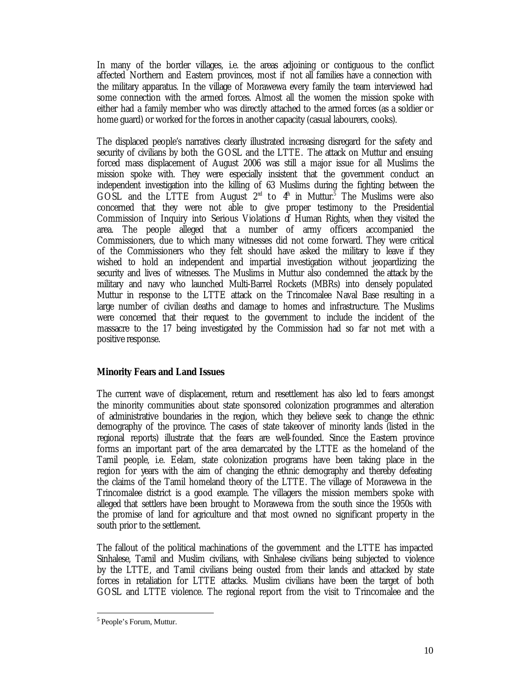In many of the border villages, i.e. the areas adjoining or contiguous to the conflict affected Northern and Eastern provinces, most if not all families have a connection with the military apparatus. In the village of Morawewa every family the team interviewed had some connection with the armed forces. Almost all the women the mission spoke with either had a family member who was directly attached to the armed forces (as a soldier or home guard) or worked for the forces in another capacity (casual labourers, cooks).

The displaced people's narratives clearly illustrated increasing disregard for the safety and security of civilians by both the GOSL and the LTTE. The attack on Muttur and ensuing forced mass displacement of August 2006 was still a major issue for all Muslims the mission spoke with. They were especially insistent that the government conduct an independent investigation into the killing of 63 Muslims during the fighting between the GOSL and the LTTE from August  $2<sup>nd</sup>$  to  $4<sup>h</sup>$  in Muttur.<sup>5</sup> The Muslims were also concerned that they were not able to give proper testimony to the Presidential Commission of Inquiry into Serious Violations of Human Rights, when they visited the area. The people alleged that a number of army officers accompanied the Commissioners, due to which many witnesses did not come forward. They were critical of the Commissioners who they felt should have asked the military to leave if they wished to hold an independent and impartial investigation without jeopardizing the security and lives of witnesses. The Muslims in Muttur also condemned the attack by the military and navy who launched Multi-Barrel Rockets (MBRs) into densely populated Muttur in response to the LTTE attack on the Trincomalee Naval Base resulting in a large number of civilian deaths and damage to homes and infrastructure. The Muslims were concerned that their request to the government to include the incident of the massacre to the 17 being investigated by the Commission had so far not met with a positive response.

# **Minority Fears and Land Issues**

The current wave of displacement, return and resettlement has also led to fears amongst the minority communities about state sponsored colonization programmes and alteration of administrative boundaries in the region, which they believe seek to change the ethnic demography of the province. The cases of state takeover of minority lands (listed in the regional reports) illustrate that the fears are well-founded. Since the Eastern province forms an important part of the area demarcated by the LTTE as the homeland of the Tamil people, i.e. Eelam, state colonization programs have been taking place in the region for years with the aim of changing the ethnic demography and thereby defeating the claims of the Tamil homeland theory of the LTTE. The village of Morawewa in the Trincomalee district is a good example. The villagers the mission members spoke with alleged that settlers have been brought to Morawewa from the south since the 1950s with the promise of land for agriculture and that most owned no significant property in the south prior to the settlement.

The fallout of the political machinations of the government and the LTTE has impacted Sinhalese, Tamil and Muslim civilians, with Sinhalese civilians being subjected to violence by the LTTE, and Tamil civilians being ousted from their lands and attacked by state forces in retaliation for LTTE attacks. Muslim civilians have been the target of both GOSL and LTTE violence. The regional report from the visit to Trincomalee and the

<sup>5</sup> People's Forum, Muttur.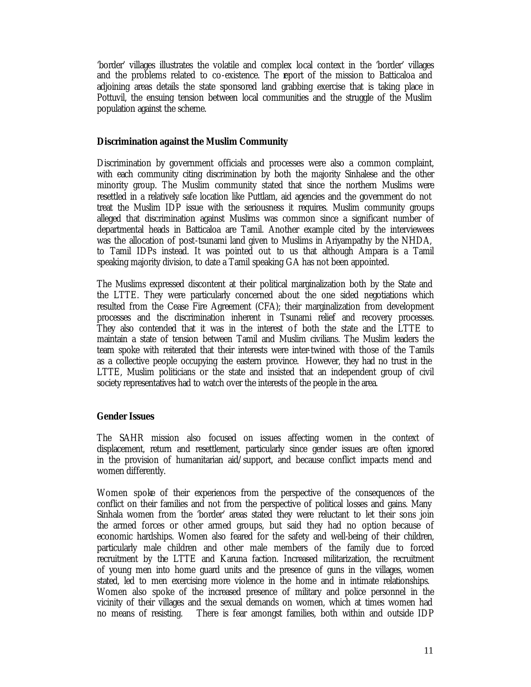'border' villages illustrates the volatile and complex local context in the 'border' villages and the problems related to co-existence. The report of the mission to Batticaloa and adjoining areas details the state sponsored land grabbing exercise that is taking place in Pottuvil, the ensuing tension between local communities and the struggle of the Muslim population against the scheme.

#### **Discrimination against the Muslim Community**

Discrimination by government officials and processes were also a common complaint, with each community citing discrimination by both the majority Sinhalese and the other minority group. The Muslim community stated that since the northern Muslims were resettled in a relatively safe location like Puttlam, aid agencies and the government do not treat the Muslim IDP issue with the seriousness it requires. Muslim community groups alleged that discrimination against Muslims was common since a significant number of departmental heads in Batticaloa are Tamil. Another example cited by the interviewees was the allocation of post-tsunami land given to Muslims in Ariyampathy by the NHDA, to Tamil IDPs instead. It was pointed out to us that although Ampara is a Tamil speaking majority division, to date a Tamil speaking GA has not been appointed.

The Muslims expressed discontent at their political marginalization both by the State and the LTTE. They were particularly concerned about the one sided negotiations which resulted from the Cease Fire Agreement (CFA); their marginalization from development processes and the discrimination inherent in Tsunami relief and recovery processes. They also contended that it was in the interest of both the state and the LTTE to maintain a state of tension between Tamil and Muslim civilians. The Muslim leaders the team spoke with reiterated that their interests were inter-twined with those of the Tamils as a collective people occupying the eastern province. However, they had no trust in the LTTE, Muslim politicians or the state and insisted that an independent group of civil society representatives had to watch over the interests of the people in the area.

## **Gender Issues**

The SAHR mission also focused on issues affecting women in the context of displacement, return and resettlement, particularly since gender issues are often ignored in the provision of humanitarian aid/support, and because conflict impacts mend and women differently.

Women spoke of their experiences from the perspective of the consequences of the conflict on their families and not from the perspective of political losses and gains. Many Sinhala women from the 'border' areas stated they were reluctant to let their sons join the armed forces or other armed groups, but said they had no option because of economic hardships. Women also feared for the safety and well-being of their children, particularly male children and other male members of the family due to forced recruitment by the LTTE and Karuna faction. Increased militarization, the recruitment of young men into home guard units and the presence of guns in the villages, women stated, led to men exercising more violence in the home and in intimate relationships. Women also spoke of the increased presence of military and police personnel in the vicinity of their villages and the sexual demands on women, which at times women had no means of resisting. There is fear amongst families, both within and outside IDP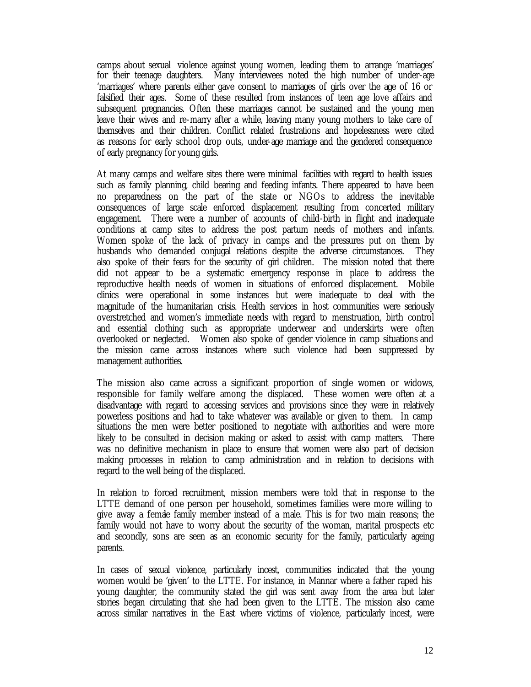camps about sexual violence against young women, leading them to arrange 'marriages' for their teenage daughters. Many interviewees noted the high number of under-age 'marriages' where parents either gave consent to marriages of girls over the age of 16 or falsified their ages. Some of these resulted from instances of teen age love affairs and subsequent pregnancies. Often these marriages cannot be sustained and the young men leave their wives and re-marry after a while, leaving many young mothers to take care of themselves and their children. Conflict related frustrations and hopelessness were cited as reasons for early school drop outs, under-age marriage and the gendered consequence of early pregnancy for young girls.

At many camps and welfare sites there were minimal facilities with regard to health issues such as family planning, child bearing and feeding infants. There appeared to have been no preparedness on the part of the state or NGOs to address the inevitable consequences of large scale enforced displacement resulting from concerted military engagement. There were a number of accounts of child-birth in flight and inadequate conditions at camp sites to address the post partum needs of mothers and infants. Women spoke of the lack of privacy in camps and the pressures put on them by husbands who demanded conjugal relations despite the adverse circumstances. They also spoke of their fears for the security of girl children. The mission noted that there did not appear to be a systematic emergency response in place to address the reproductive health needs of women in situations of enforced displacement. Mobile clinics were operational in some instances but were inadequate to deal with the magnitude of the humanitarian crisis. Health services in host communities were seriously overstretched and women's immediate needs with regard to menstruation, birth control and essential clothing such as appropriate underwear and underskirts were often overlooked or neglected. Women also spoke of gender violence in camp situations and the mission came across instances where such violence had been suppressed by management authorities.

The mission also came across a significant proportion of single women or widows, responsible for family welfare among the displaced. These women were often at a disadvantage with regard to accessing services and provisions since they were in relatively powerless positions and had to take whatever was available or given to them. In camp situations the men were better positioned to negotiate with authorities and were more likely to be consulted in decision making or asked to assist with camp matters. There was no definitive mechanism in place to ensure that women were also part of decision making processes in relation to camp administration and in relation to decisions with regard to the well being of the displaced.

In relation to forced recruitment, mission members were told that in response to the LTTE demand of one person per household, sometimes families were more willing to give away a female family member instead of a male. This is for two main reasons; the family would not have to worry about the security of the woman, marital prospects etc and secondly, sons are seen as an economic security for the family, particularly ageing parents.

In cases of sexual violence, particularly incest, communities indicated that the young women would be 'given' to the LTTE. For instance, in Mannar where a father raped his young daughter, the community stated the girl was sent away from the area but later stories began circulating that she had been given to the LTTE. The mission also came across similar narratives in the East where victims of violence, particularly incest, were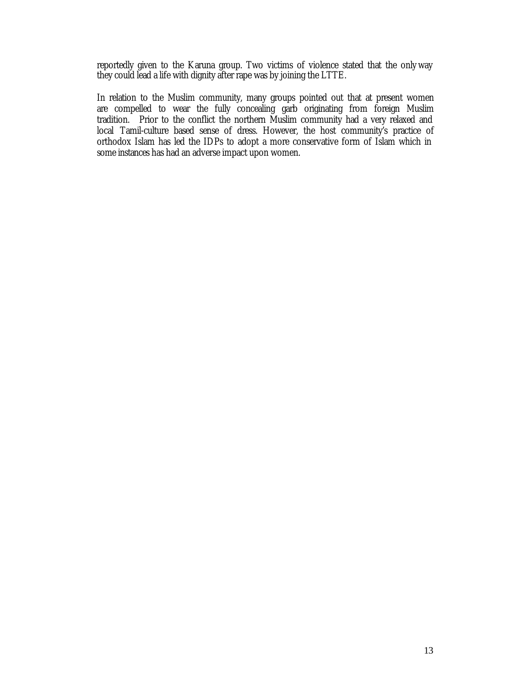reportedly given to the Karuna group. Two victims of violence stated that the only way they could lead a life with dignity after rape was by joining the LTTE.

In relation to the Muslim community, many groups pointed out that at present women are compelled to wear the fully concealing garb originating from foreign Muslim tradition. Prior to the conflict the northern Muslim community had a very relaxed and local Tamil-culture based sense of dress. However, the host community's practice of orthodox Islam has led the IDPs to adopt a more conservative form of Islam which in some instances has had an adverse impact upon women.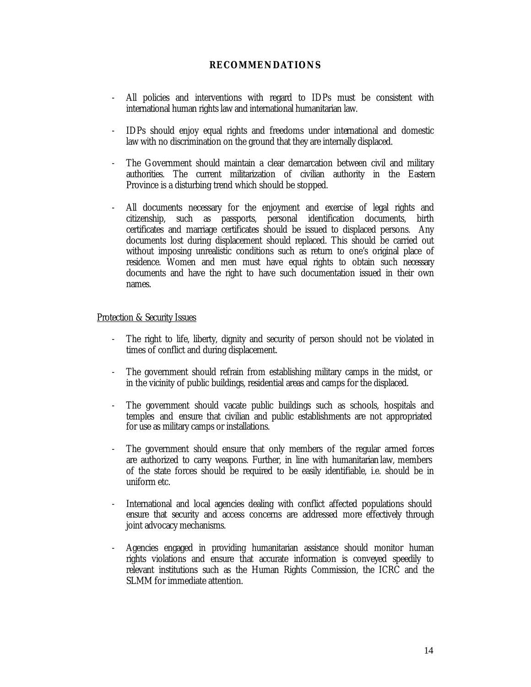# **RECOMMENDATIONS**

- All policies and interventions with regard to IDPs must be consistent with international human rights law and international humanitarian law.
- IDPs should enjoy equal rights and freedoms under international and domestic law with no discrimination on the ground that they are internally displaced.
- The Government should maintain a clear demarcation between civil and military authorities. The current militarization of civilian authority in the Eastern Province is a disturbing trend which should be stopped.
- All documents necessary for the enjoyment and exercise of legal rights and citizenship, such as passports, personal identification documents, birth certificates and marriage certificates should be issued to displaced persons. Any documents lost during displacement should replaced. This should be carried out without imposing unrealistic conditions such as return to one's original place of residence. Women and men must have equal rights to obtain such necessary documents and have the right to have such documentation issued in their own names.

## Protection & Security Issues

- The right to life, liberty, dignity and security of person should not be violated in times of conflict and during displacement.
- The government should refrain from establishing military camps in the midst, or in the vicinity of public buildings, residential areas and camps for the displaced.
- The government should vacate public buildings such as schools, hospitals and temples and ensure that civilian and public establishments are not appropriated for use as military camps or installations.
- The government should ensure that only members of the regular armed forces are authorized to carry weapons. Further, in line with humanitarian law, members of the state forces should be required to be easily identifiable, i.e. should be in uniform etc.
- International and local agencies dealing with conflict affected populations should ensure that security and access concerns are addressed more effectively through joint advocacy mechanisms.
- Agencies engaged in providing humanitarian assistance should monitor human rights violations and ensure that accurate information is conveyed speedily to relevant institutions such as the Human Rights Commission, the ICRC and the SLMM for immediate attention.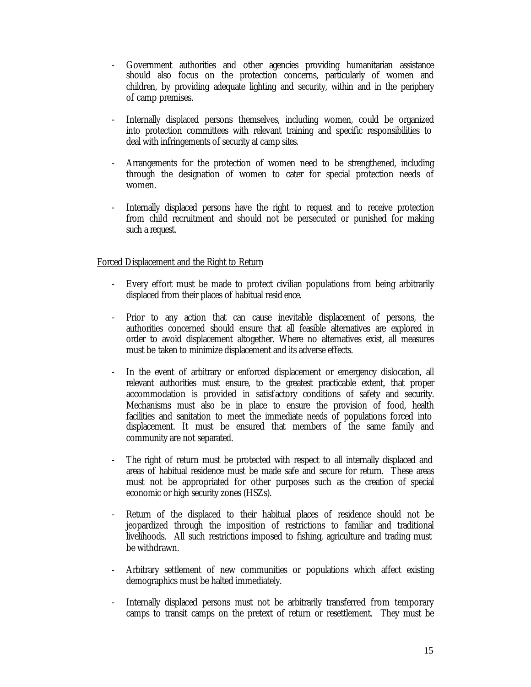- Government authorities and other agencies providing humanitarian assistance should also focus on the protection concerns, particularly of women and children, by providing adequate lighting and security, within and in the periphery of camp premises.
- Internally displaced persons themselves, including women, could be organized into protection committees with relevant training and specific responsibilities to deal with infringements of security at camp sites.
- Arrangements for the protection of women need to be strengthened, including through the designation of women to cater for special protection needs of women.
- Internally displaced persons have the right to request and to receive protection from child recruitment and should not be persecuted or punished for making such a request.

# Forced Displacement and the Right to Return

- Every effort must be made to protect civilian populations from being arbitrarily displaced from their places of habitual resid ence.
- Prior to any action that can cause inevitable displacement of persons, the authorities concerned should ensure that all feasible alternatives are explored in order to avoid displacement altogether. Where no alternatives exist, all measures must be taken to minimize displacement and its adverse effects.
- In the event of arbitrary or enforced displacement or emergency dislocation, all relevant authorities must ensure, to the greatest practicable extent, that proper accommodation is provided in satisfactory conditions of safety and security. Mechanisms must also be in place to ensure the provision of food, health facilities and sanitation to meet the immediate needs of populations forced into displacement. It must be ensured that members of the same family and community are not separated.
- The right of return must be protected with respect to all internally displaced and areas of habitual residence must be made safe and secure for return. These areas must not be appropriated for other purposes such as the creation of special economic or high security zones (HSZs).
- Return of the displaced to their habitual places of residence should not be jeopardized through the imposition of restrictions to familiar and traditional livelihoods. All such restrictions imposed to fishing, agriculture and trading must be withdrawn.
- Arbitrary settlement of new communities or populations which affect existing demographics must be halted immediately.
- Internally displaced persons must not be arbitrarily transferred from temporary camps to transit camps on the pretext of return or resettlement. They must be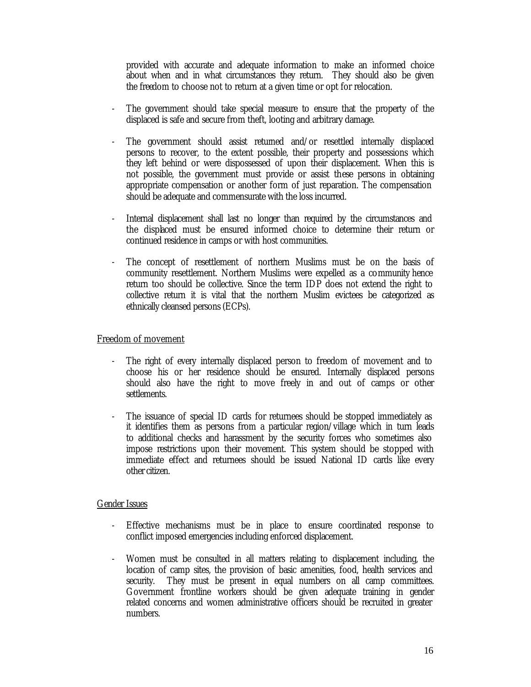provided with accurate and adequate information to make an informed choice about when and in what circumstances they return. They should also be given the freedom to choose not to return at a given time or opt for relocation.

- The government should take special measure to ensure that the property of the displaced is safe and secure from theft, looting and arbitrary damage.
- The government should assist returned and/or resettled internally displaced persons to recover, to the extent possible, their property and possessions which they left behind or were dispossessed of upon their displacement. When this is not possible, the government must provide or assist these persons in obtaining appropriate compensation or another form of just reparation. The compensation should be adequate and commensurate with the loss incurred.
- Internal displacement shall last no longer than required by the circumstances and the displaced must be ensured informed choice to determine their return or continued residence in camps or with host communities.
- The concept of resettlement of northern Muslims must be on the basis of community resettlement. Northern Muslims were expelled as a community hence return too should be collective. Since the term IDP does not extend the right to collective return it is vital that the northern Muslim evictees be categorized as ethnically cleansed persons (ECPs).

## Freedom of movement

- The right of every internally displaced person to freedom of movement and to choose his or her residence should be ensured. Internally displaced persons should also have the right to move freely in and out of camps or other settlements.
- The issuance of special ID cards for returnees should be stopped immediately as it identifies them as persons from a particular region/village which in turn leads to additional checks and harassment by the security forces who sometimes also impose restrictions upon their movement. This system should be stopped with immediate effect and returnees should be issued National ID cards like every other citizen.

## Gender Issues

- Effective mechanisms must be in place to ensure coordinated response to conflict imposed emergencies including enforced displacement.
- Women must be consulted in all matters relating to displacement including, the location of camp sites, the provision of basic amenities, food, health services and security. They must be present in equal numbers on all camp committees. Government frontline workers should be given adequate training in gender related concerns and women administrative officers should be recruited in greater numbers.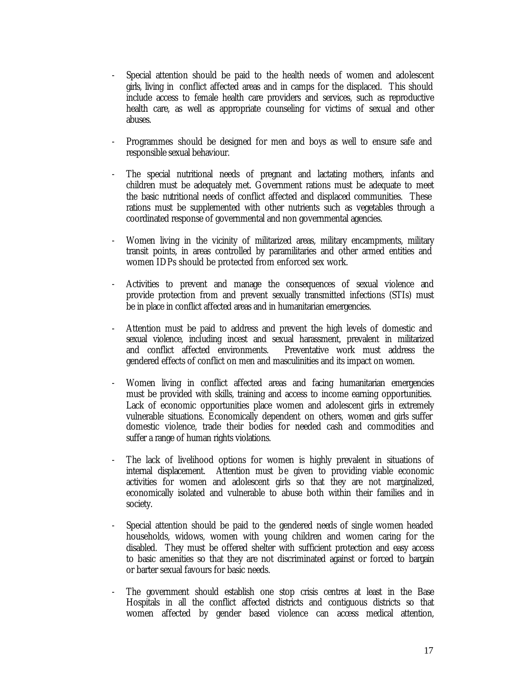- Special attention should be paid to the health needs of women and adolescent girls, living in conflict affected areas and in camps for the displaced. This should include access to female health care providers and services, such as reproductive health care, as well as appropriate counseling for victims of sexual and other abuses.
- Programmes should be designed for men and boys as well to ensure safe and responsible sexual behaviour.
- The special nutritional needs of pregnant and lactating mothers, infants and children must be adequately met. Government rations must be adequate to meet the basic nutritional needs of conflict affected and displaced communities. These rations must be supplemented with other nutrients such as vegetables through a coordinated response of governmental and non governmental agencies.
- Women living in the vicinity of militarized areas, military encampments, military transit points, in areas controlled by paramilitaries and other armed entities and women IDPs should be protected from enforced sex work.
- Activities to prevent and manage the consequences of sexual violence and provide protection from and prevent sexually transmitted infections (STIs) must be in place in conflict affected areas and in humanitarian emergencies.
- Attention must be paid to address and prevent the high levels of domestic and sexual violence, including incest and sexual harassment, prevalent in militarized and conflict affected environments. Preventative work must address the gendered effects of conflict on men and masculinities and its impact on women.
- Women living in conflict affected areas and facing humanitarian emergencies must be provided with skills, training and access to income earning opportunities. Lack of economic opportunities place women and adolescent girls in extremely vulnerable situations. Economically dependent on others, women and girls suffer domestic violence, trade their bodies for needed cash and commodities and suffer a range of human rights violations.
- The lack of livelihood options for women is highly prevalent in situations of internal displacement. Attention must be given to providing viable economic activities for women and adolescent girls so that they are not marginalized, economically isolated and vulnerable to abuse both within their families and in society.
- Special attention should be paid to the gendered needs of single women headed households, widows, women with young children and women caring for the disabled. They must be offered shelter with sufficient protection and easy access to basic amenities so that they are not discriminated against or forced to bargain or barter sexual favours for basic needs.
- The government should establish one stop crisis centres at least in the Base Hospitals in all the conflict affected districts and contiguous districts so that women affected by gender based violence can access medical attention,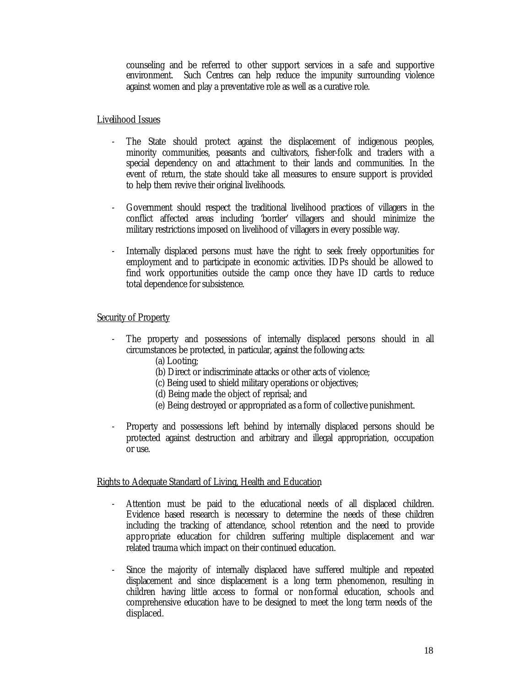counseling and be referred to other support services in a safe and supportive environment. Such Centres can help reduce the impunity surrounding violence against women and play a preventative role as well as a curative role.

## Livelihood Issues

- The State should protect against the displacement of indigenous peoples, minority communities, peasants and cultivators, fisher-folk and traders with a special dependency on and attachment to their lands and communities. In the event of return, the state should take all measures to ensure support is provided to help them revive their original livelihoods.
- Government should respect the traditional livelihood practices of villagers in the conflict affected areas including 'border' villagers and should minimize the military restrictions imposed on livelihood of villagers in every possible way.
- Internally displaced persons must have the right to seek freely opportunities for employment and to participate in economic activities. IDPs should be allowed to find work opportunities outside the camp once they have ID cards to reduce total dependence for subsistence.

# Security of Property

- The property and possessions of internally displaced persons should in all circumstances be protected, in particular, against the following acts:
	- (a) Looting;
	- (b) Direct or indiscriminate attacks or other acts of violence;
	- (c) Being used to shield military operations or objectives;
	- (d) Being made the object of reprisal; and
	- (e) Being destroyed or appropriated as a form of collective punishment.
- Property and possessions left behind by internally displaced persons should be protected against destruction and arbitrary and illegal appropriation, occupation or use.

## Rights to Adequate Standard of Living, Health and Education

- Attention must be paid to the educational needs of all displaced children. Evidence based research is necessary to determine the needs of these children including the tracking of attendance, school retention and the need to provide appropriate education for children suffering multiple displacement and war related trauma which impact on their continued education.
- Since the majority of internally displaced have suffered multiple and repeated displacement and since displacement is a long term phenomenon, resulting in children having little access to formal or non-formal education, schools and comprehensive education have to be designed to meet the long term needs of the displaced.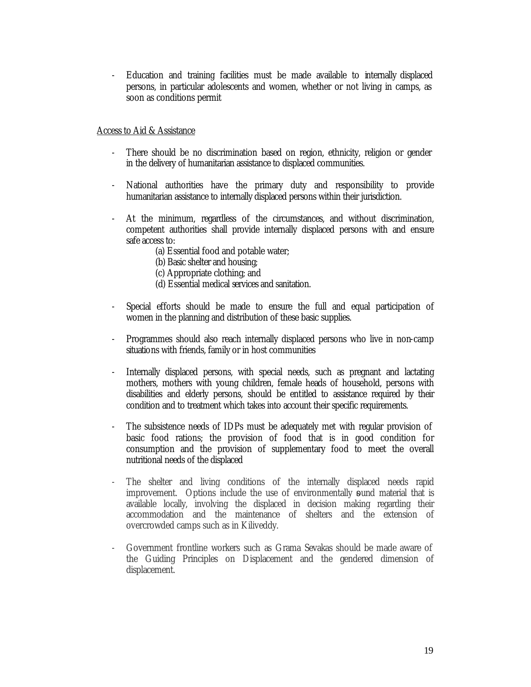- Education and training facilities must be made available to internally displaced persons, in particular adolescents and women, whether or not living in camps, as soon as conditions permit

Access to Aid & Assistance

- There should be no discrimination based on region, ethnicity, religion or gender in the delivery of humanitarian assistance to displaced communities.
- National authorities have the primary duty and responsibility to provide humanitarian assistance to internally displaced persons within their jurisdiction.
- At the minimum, regardless of the circumstances, and without discrimination, competent authorities shall provide internally displaced persons with and ensure safe access to:
	- (a) Essential food and potable water;
	- (b) Basic shelter and housing;
	- (c) Appropriate clothing; and
	- (d) Essential medical services and sanitation.
- Special efforts should be made to ensure the full and equal participation of women in the planning and distribution of these basic supplies.
- Programmes should also reach internally displaced persons who live in non-camp situations with friends, family or in host communities
- Internally displaced persons, with special needs, such as pregnant and lactating mothers, mothers with young children, female heads of household, persons with disabilities and elderly persons, should be entitled to assistance required by their condition and to treatment which takes into account their specific requirements.
- The subsistence needs of IDPs must be adequately met with regular provision of basic food rations; the provision of food that is in good condition for consumption and the provision of supplementary food to meet the overall nutritional needs of the displaced
- The shelter and living conditions of the internally displaced needs rapid improvement. Options include the use of environmentally sund material that is available locally, involving the displaced in decision making regarding their accommodation and the maintenance of shelters and the extension of overcrowded camps such as in Kiliveddy.
- Government frontline workers such as Grama Sevakas should be made aware of the Guiding Principles on Displacement and the gendered dimension of displacement.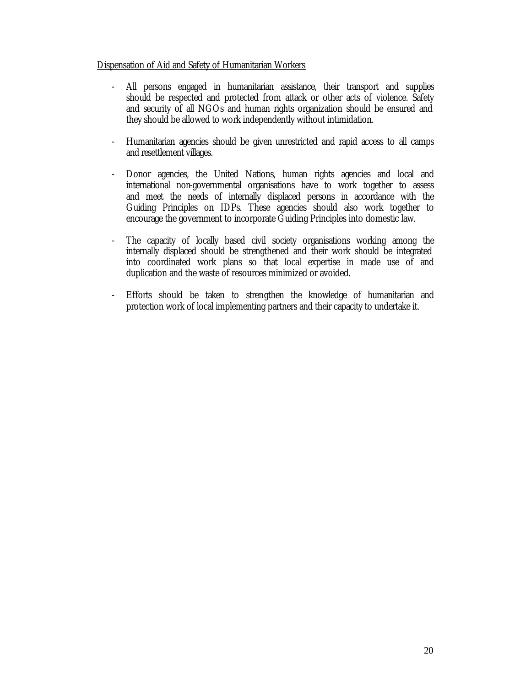# Dispensation of Aid and Safety of Humanitarian Workers

- All persons engaged in humanitarian assistance, their transport and supplies should be respected and protected from attack or other acts of violence. Safety and security of all NGOs and human rights organization should be ensured and they should be allowed to work independently without intimidation.
- Humanitarian agencies should be given unrestricted and rapid access to all camps and resettlement villages.
- Donor agencies, the United Nations, human rights agencies and local and international non-governmental organisations have to work together to assess and meet the needs of internally displaced persons in accordance with the Guiding Principles on IDPs. These agencies should also work together to encourage the government to incorporate Guiding Principles into domestic law.
- The capacity of locally based civil society organisations working among the internally displaced should be strengthened and their work should be integrated into coordinated work plans so that local expertise in made use of and duplication and the waste of resources minimized or avoided.
- Efforts should be taken to strengthen the knowledge of humanitarian and protection work of local implementing partners and their capacity to undertake it.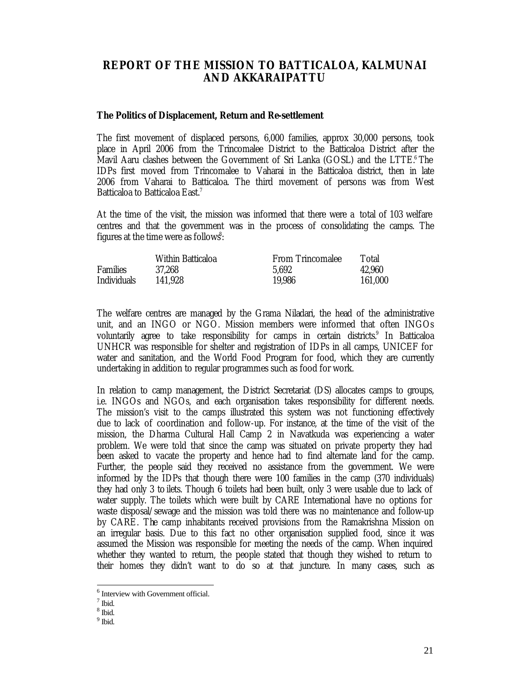# **REPORT OF THE MISSION TO BATTICALOA, KALMUNAI AND AKKARAIPATTU**

#### **The Politics of Displacement, Return and Re-settlement**

The first movement of displaced persons, 6,000 families, approx 30,000 persons, took place in April 2006 from the Trincomalee District to the Batticaloa District after the Mavil Aaru clashes between the Government of Sri Lanka (GOSL) and the LTTE.<sup>6</sup> The IDPs first moved from Trincomalee to Vaharai in the Batticaloa district, then in late 2006 from Vaharai to Batticaloa. The third movement of persons was from West Batticaloa to Batticaloa East.<sup>7</sup>

At the time of the visit, the mission was informed that there were a total of 103 welfare centres and that the government was in the process of consolidating the camps. The figures at the time were as follows<sup>8</sup>:

|                 | Within Batticaloa | <b>From Trincomalee</b> | Total   |
|-----------------|-------------------|-------------------------|---------|
| <b>Families</b> | 37,268            | 5.692                   | 42.960  |
| Individuals     | 141,928           | 19,986                  | 161,000 |

The welfare centres are managed by the Grama Niladari, the head of the administrative unit, and an INGO or NGO. Mission members were informed that often INGOs voluntarily agree to take responsibility for camps in certain districts.<sup>9</sup> In Batticaloa UNHCR was responsible for shelter and registration of IDPs in all camps, UNICEF for water and sanitation, and the World Food Program for food, which they are currently undertaking in addition to regular programmes such as food for work.

In relation to camp management, the District Secretariat (DS) allocates camps to groups, i.e. INGOs and NGOs, and each organisation takes responsibility for different needs. The mission's visit to the camps illustrated this system was not functioning effectively due to lack of coordination and follow-up. For instance, at the time of the visit of the mission, the Dharma Cultural Hall Camp 2 in Navatkuda was experiencing a water problem. We were told that since the camp was situated on private property they had been asked to vacate the property and hence had to find alternate land for the camp. Further, the people said they received no assistance from the government. We were informed by the IDPs that though there were 100 families in the camp (370 individuals) they had only 3 to ilets. Though 6 toilets had been built, only 3 were usable due to lack of water supply. The toilets which were built by CARE International have no options for waste disposal/sewage and the mission was told there was no maintenance and follow-up by CARE. The camp inhabitants received provisions from the Ramakrishna Mission on an irregular basis. Due to this fact no other organisation supplied food, since it was assumed the Mission was responsible for meeting the needs of the camp. When inquired whether they wanted to return, the people stated that though they wished to return to their homes they didn't want to do so at that juncture. In many cases, such as

<sup>6</sup> Interview with Government official.

<sup>7</sup> Ibid.

<sup>8</sup> Ibid.

<sup>&</sup>lt;sup>9</sup> Ibid.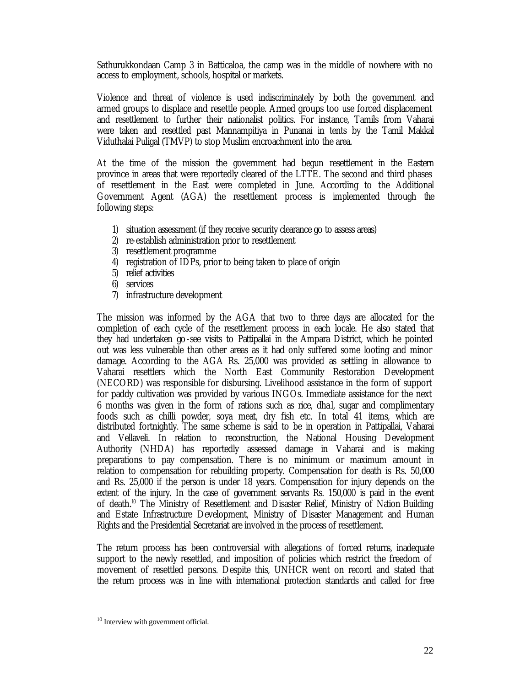Sathurukkondaan Camp 3 in Batticaloa, the camp was in the middle of nowhere with no access to employment, schools, hospital or markets.

Violence and threat of violence is used indiscriminately by both the government and armed groups to displace and resettle people. Armed groups too use forced displacement and resettlement to further their nationalist politics. For instance, Tamils from Vaharai were taken and resettled past Mannampitiya in Punanai in tents by the Tamil Makkal Viduthalai Puligal (TMVP) to stop Muslim encroachment into the area.

At the time of the mission the government had begun resettlement in the Eastern province in areas that were reportedly cleared of the LTTE. The second and third phases of resettlement in the East were completed in June. According to the Additional Government Agent (AGA) the resettlement process is implemented through the following steps:

- 1) situation assessment (if they receive security clearance go to assess areas)
- 2) re-establish administration prior to resettlement
- 3) resettlement programme
- 4) registration of IDPs, prior to being taken to place of origin
- 5) relief activities
- 6) services
- 7) infrastructure development

The mission was informed by the AGA that two to three days are allocated for the completion of each cycle of the resettlement process in each locale. He also stated that they had undertaken go-see visits to Pattipallai in the Ampara District, which he pointed out was less vulnerable than other areas as it had only suffered some looting and minor damage. According to the AGA Rs. 25,000 was provided as settling in allowance to Vaharai resettlers which the North East Community Restoration Development (NECORD) was responsible for disbursing. Livelihood assistance in the form of support for paddy cultivation was provided by various INGOs. Immediate assistance for the next 6 months was given in the form of rations such as rice, dha l, sugar and complimentary foods such as chilli powder, soya meat, dry fish etc. In total 41 items, which are distributed fortnightly. The same scheme is said to be in operation in Pattipallai, Vaharai and Vellaveli. In relation to reconstruction, the National Housing Development Authority (NHDA) has reportedly assessed damage in Vaharai and is making preparations to pay compensation. There is no minimum or maximum amount in relation to compensation for rebuilding property. Compensation for death is Rs. 50,000 and Rs. 25,000 if the person is under 18 years. Compensation for injury depends on the extent of the injury. In the case of government servants Rs. 150,000 is paid in the event of death.<sup>10</sup> The Ministry of Resettlement and Disaster Relief, Ministry of Nation Building and Estate Infrastructure Development, Ministry of Disaster Management and Human Rights and the Presidential Secretariat are involved in the process of resettlement.

The return process has been controversial with allegations of forced returns, inadequate support to the newly resettled, and imposition of policies which restrict the freedom of movement of resettled persons. Despite this, UNHCR went on record and stated that the return process was in line with international protection standards and called for free

<sup>10</sup> Interview with government official.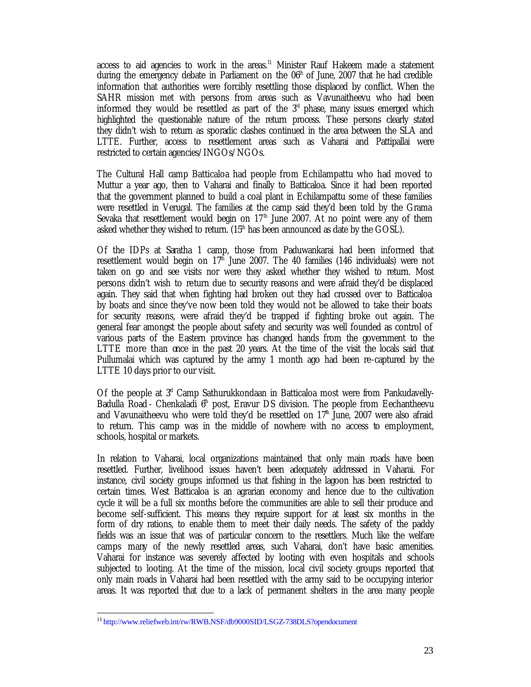access to aid agencies to work in the areas.<sup>11</sup> Minister Rauf Hakeem made a statement during the emergency debate in Parliament on the  $06<sup>th</sup>$  of June, 2007 that he had credible information that authorities were forcibly resettling those displaced by conflict. When the SAHR mission met with persons from areas such as Vavunaitheevu who had been informed they would be resettled as part of the  $3<sup>d</sup>$  phase, many issues emerged which highlighted the questionable nature of the return process. These persons clearly stated they didn't wish to return as sporadic clashes continued in the area between the SLA and LTTE. Further, access to resettlement areas such as Vaharai and Pattipallai were restricted to certain agencies/INGOs/NGOs.

The Cultural Hall camp Batticaloa had people from Echilampattu who had moved to Muttur a year ago, then to Vaharai and finally to Batticaloa. Since it had been reported that the government planned to build a coal plant in Echilampattu some of these families were resettled in Verugal. The families at the camp said they'd been told by the Grama Sevaka that resettlement would begin on  $17<sup>th</sup>$  June 2007. At no point were any of them asked whether they wished to return.  $(15<sup>th</sup>$  has been announced as date by the GOSL).

Of the IDPs at Saratha 1 camp, those from Paduwankarai had been informed that resettlement would begin on  $17<sup>th</sup>$  June 2007. The 40 families (146 individuals) were not taken on go and see visits nor were they asked whether they wished to return. Most persons didn't wish to return due to security reasons and were afraid they'd be displaced again. They said that when fighting had broken out they had crossed over to Batticaloa by boats and since they've now been told they would not be allowed to take their boats for security reasons, were afraid they'd be trapped if fighting broke out again. The general fear amongst the people about safety and security was well founded as control of various parts of the Eastern province has changed hands from the government to the LTTE more than once in the past 20 years. At the time of the visit the locals said that Pullumalai which was captured by the army 1 month ago had been re-captured by the LTTE 10 days prior to our visit.

Of the people at  $3<sup>d</sup>$  Camp Sathurukkondaan in Batticaloa most were from Pankudavelly-Badulla Road - Chenkaladi  $6<sup>th</sup>$  post, Eravur DS division. The people from Eechantheevu and Vavunaitheevu who were told they'd be resettled on  $17<sup>h</sup>$  June, 2007 were also afraid to return. This camp was in the middle of nowhere with no access to employment, schools, hospital or markets.

In relation to Vaharai, local organizations maintained that only main roads have been resettled. Further, livelihood issues haven't been adequately addressed in Vaharai. For instance, civil society groups informed us that fishing in the lagoon has been restricted to certain times. West Batticaloa is an agrarian economy and hence due to the cultivation cycle it will be a full six months before the communities are able to sell their produce and become self-sufficient. This means they require support for at least six months in the form of dry rations, to enable them to meet their daily needs. The safety of the paddy fields was an issue that was of particular concern to the resettlers. Much like the welfare camps many of the newly resettled areas, such Vaharai, don't have basic amenities. Vaharai for instance was severely affected by looting with even hospitals and schools subjected to looting. At the time of the mission, local civil society groups reported that only main roads in Vaharai had been resettled with the army said to be occupying interior areas. It was reported that due to a lack of permanent shelters in the area many people

<sup>11</sup> http://www.reliefweb.int/rw/RWB.NSF/db9000SID/LSGZ-738DLS?opendocument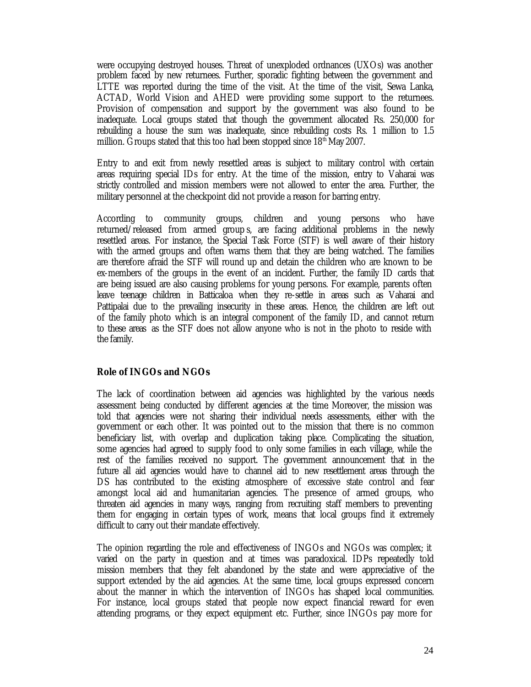were occupying destroyed houses. Threat of unexploded ordnances (UXOs) was another problem faced by new returnees. Further, sporadic fighting between the government and LTTE was reported during the time of the visit. At the time of the visit, Sewa Lanka, ACTAD, World Vision and AHED were providing some support to the returnees. Provision of compensation and support by the government was also found to be inadequate. Local groups stated that though the government allocated Rs. 250,000 for rebuilding a house the sum was inadequate, since rebuilding costs Rs. 1 million to 1.5 million. Groups stated that this too had been stopped since  $18<sup>th</sup>$  May 2007.

Entry to and exit from newly resettled areas is subject to military control with certain areas requiring special IDs for entry. At the time of the mission, entry to Vaharai was strictly controlled and mission members were not allowed to enter the area. Further, the military personnel at the checkpoint did not provide a reason for barring entry.

According to community groups, children and young persons who have returned/released from armed group s, are facing additional problems in the newly resettled areas. For instance, the Special Task Force (STF) is well aware of their history with the armed groups and often warns them that they are being watched. The families are therefore afraid the STF will round up and detain the children who are known to be ex-members of the groups in the event of an incident. Further, the family ID cards that are being issued are also causing problems for young persons. For example, parents often leave teenage children in Batticaloa when they re-settle in areas such as Vaharai and Pattipalai due to the prevailing insecurity in these areas. Hence, the children are left out of the family photo which is an integral component of the family ID, and cannot return to these areas as the STF does not allow anyone who is not in the photo to reside with the family.

# **Role of INGOs and NGOs**

The lack of coordination between aid agencies was highlighted by the various needs assessment being conducted by different agencies at the time. Moreover, the mission was told that agencies were not sharing their individual needs assessments, either with the government or each other. It was pointed out to the mission that there is no common beneficiary list, with overlap and duplication taking place. Complicating the situation, some agencies had agreed to supply food to only some families in each village, while the rest of the families received no support. The government announcement that in the future all aid agencies would have to channel aid to new resettlement areas through the DS has contributed to the existing atmosphere of excessive state control and fear amongst local aid and humanitarian agencies. The presence of armed groups, who threaten aid agencies in many ways, ranging from recruiting staff members to preventing them for engaging in certain types of work, means that local groups find it extremely difficult to carry out their mandate effectively.

The opinion regarding the role and effectiveness of INGOs and NGOs was complex; it varied on the party in question and at times was paradoxical. IDPs repeatedly told mission members that they felt abandoned by the state and were appreciative of the support extended by the aid agencies. At the same time, local groups expressed concern about the manner in which the intervention of INGOs has shaped local communities. For instance, local groups stated that people now expect financial reward for even attending programs, or they expect equipment etc. Further, since INGOs pay more for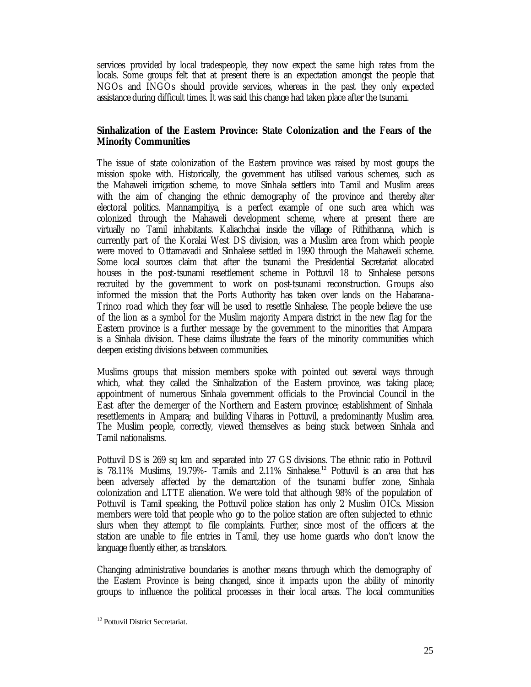services provided by local tradespeople, they now expect the same high rates from the locals. Some groups felt that at present there is an expectation amongst the people that NGOs and INGOs should provide services, whereas in the past they only expected assistance during difficult times. It was said this change had taken place after the tsunami.

# **Sinhalization of the Eastern Province: State Colonization and the Fears of the Minority Communities**

The issue of state colonization of the Eastern province was raised by most groups the mission spoke with. Historically, the government has utilised various schemes, such as the Mahaweli irrigation scheme, to move Sinhala settlers into Tamil and Muslim areas with the aim of changing the ethnic demography of the province and thereby alter electoral politics. Mannampitiya, is a perfect example of one such area which was colonized through the Mahaweli development scheme, where at present there are virtually no Tamil inhabitants. Kaliachchai inside the village of Rithithanna, which is currently part of the Koralai West DS division, was a Muslim area from which people were moved to Ottamavadi and Sinhalese settled in 1990 through the Mahaweli scheme. Some local sources claim that after the tsunami the Presidential Secretariat allocated houses in the post-tsunami resettlement scheme in Pottuvil 18 to Sinhalese persons recruited by the government to work on post-tsunami reconstruction. Groups also informed the mission that the Ports Authority has taken over lands on the Habarana - Trinco road which they fear will be used to resettle Sinhalese. The people believe the use of the lion as a symbol for the Muslim majority Ampara district in the new flag for the Eastern province is a further message by the government to the minorities that Ampara is a Sinhala division. These claims illustrate the fears of the minority communities which deepen existing divisions between communities.

Muslims groups that mission members spoke with pointed out several ways through which, what they called the Sinhalization of the Eastern province, was taking place; appointment of numerous Sinhala government officials to the Provincial Council in the East after the de-merger of the Northern and Eastern province; establishment of Sinhala resettlements in Ampara; and building Viharas in Pottuvil, a predominantly Muslim area. The Muslim people, correctly, viewed themselves as being stuck between Sinhala and Tamil nationalisms.

Pottuvil DS is 269 sq km and separated into 27 GS divisions. The ethnic ratio in Pottuvil is  $78.11\%$  Muslims, 19.79%- Tamils and  $2.11\%$  Sinhalese.<sup>12</sup> Pottuvil is an area that has been adversely affected by the demarcation of the tsunami buffer zone, Sinhala colonization and LTTE alienation. We were told that although 98% of the population of Pottuvil is Tamil speaking, the Pottuvil police station has only 2 Muslim OICs. Mission members were told that people who go to the police station are often subjected to ethnic slurs when they attempt to file complaints. Further, since most of the officers at the station are unable to file entries in Tamil, they use home guards who don't know the language fluently either, as translators.

Changing administrative boundaries is another means through which the demography of the Eastern Province is being changed, since it impacts upon the ability of minority groups to influence the political processes in their local areas. The local communities

<sup>&</sup>lt;sup>12</sup> Pottuvil District Secretariat.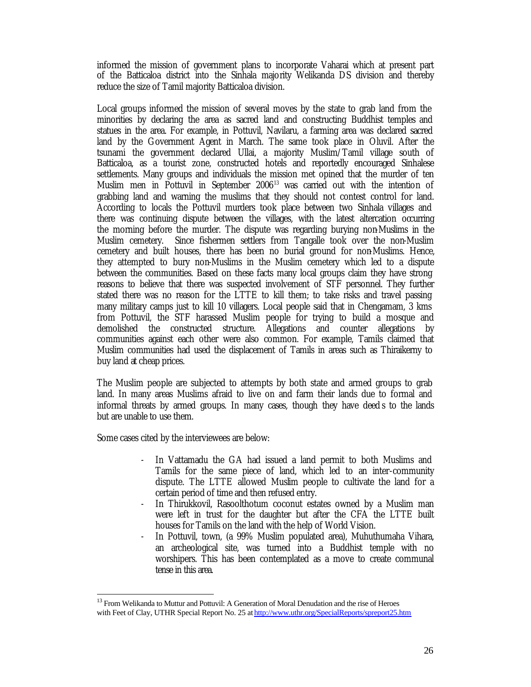informed the mission of government plans to incorporate Vaharai which at present part of the Batticaloa district into the Sinhala majority Welikanda DS division and thereby reduce the size of Tamil majority Batticaloa division.

Local groups informed the mission of several moves by the state to grab land from the minorities by declaring the area as sacred land and constructing Buddhist temples and statues in the area. For example, in Pottuvil, Navilaru, a farming area was declared sacred land by the Government Agent in March. The same took place in Oluvil. After the tsunami the government declared Ullai, a majority Muslim/Tamil village south of Batticaloa, as a tourist zone, constructed hotels and reportedly encouraged Sinhalese settlements. Many groups and individuals the mission met opined that the murder of ten Muslim men in Pottuvil in September 2006<sup>13</sup> was carried out with the intention of grabbing land and warning the muslims that they should not contest control for land. According to locals the Pottuvil murders took place between two Sinhala villages and there was continuing dispute between the villages, with the latest altercation occurring the morning before the murder. The dispute was regarding burying non-Muslims in the Muslim cemetery. Since fishermen settlers from Tangalle took over the non-Muslim cemetery and built houses, there has been no burial ground for non-Muslims. Hence, they attempted to bury non-Muslims in the Muslim cemetery which led to a dispute between the communities. Based on these facts many local groups claim they have strong reasons to believe that there was suspected involvement of STF personnel. They further stated there was no reason for the LTTE to kill them; to take risks and travel passing many military camps just to kill 10 villagers. Local people said that in Chengamam, 3 kms from Pottuvil, the STF harassed Muslim people for trying to build a mosque and demolished the constructed structure. Allegations and counter allegations by communities against each other were also common. For example, Tamils claimed that Muslim communities had used the displacement of Tamils in areas such as Thiraikerny to buy land at cheap prices.

The Muslim people are subjected to attempts by both state and armed groups to grab land. In many areas Muslims afraid to live on and farm their lands due to formal and informal threats by armed groups. In many cases, though they have deed s to the lands but are unable to use them.

Some cases cited by the interviewees are below:

- In Vattamadu the GA had issued a land permit to both Muslims and Tamils for the same piece of land, which led to an inter-community dispute. The LTTE allowed Muslim people to cultivate the land for a certain period of time and then refused entry.
- In Thirukkovil, Rasoolthotum coconut estates owned by a Muslim man were left in trust for the daughter but after the CFA the LTTE built houses for Tamils on the land with the help of World Vision.
- In Pottuvil, town, (a 99% Muslim populated area), Muhuthumaha Vihara, an archeological site, was turned into a Buddhist temple with no worshipers. This has been contemplated as a move to create communal tense in this area.

<sup>&</sup>lt;sup>13</sup> From Welikanda to Muttur and Pottuvil: A Generation of Moral Denudation and the rise of Heroes with Feet of Clay, UTHR Special Report No. 25 at http://www.uthr.org/SpecialReports/spreport25.htm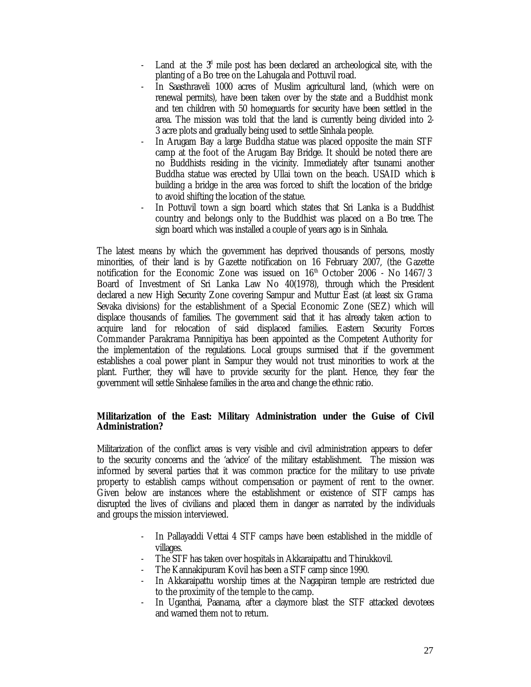- Land at the  $3<sup>d</sup>$  mile post has been declared an archeological site, with the planting of a Bo tree on the Lahugala and Pottuvil road.
- In Saasthraveli 1000 acres of Muslim agricultural land, (which were on renewal permits), have been taken over by the state and a Buddhist monk and ten children with 50 homeguards for security have been settled in the area. The mission was told that the land is currently being divided into 2- 3 acre plots and gradually being used to settle Sinhala people.
- In Arugam Bay a large Buddha statue was placed opposite the main STF camp at the foot of the Arugam Bay Bridge. It should be noted there are no Buddhists residing in the vicinity. Immediately after tsunami another Buddha statue was erected by Ullai town on the beach. USAID which is building a bridge in the area was forced to shift the location of the bridge to avoid shifting the location of the statue.
- In Pottuvil town a sign board which states that Sri Lanka is a Buddhist country and belongs only to the Buddhist was placed on a Bo tree. The sign board which was installed a couple of years ago is in Sinhala.

The latest means by which the government has deprived thousands of persons, mostly minorities, of their land is by Gazette notification on 16 February 2007, (the Gazette notification for the Economic Zone was issued on  $16<sup>th</sup>$  October 2006 - No 1467/3 Board of Investment of Sri Lanka Law No 40(1978), through which the President declared a new High Security Zone covering Sampur and Muttur East (at least six Grama Sevaka divisions) for the establishment of a Special Economic Zone (SEZ) which will displace thousands of families. The government said that it has already taken action to acquire land for relocation of said displaced families. Eastern Security Forces Commander Parakrama Pannipitiya has been appointed as the Competent Authority for the implementation of the regulations. Local groups surmised that if the government establishes a coal power plant in Sampur they would not trust minorities to work at the plant. Further, they will have to provide security for the plant. Hence, they fear the government will settle Sinhalese families in the area and change the ethnic ratio.

# **Militarization of the East: Military Administration under the Guise of Civil Administration?**

Militarization of the conflict areas is very visible and civil administration appears to defer to the security concerns and the 'advice' of the military establishment. The mission was informed by several parties that it was common practice for the military to use private property to establish camps without compensation or payment of rent to the owner. Given below are instances where the establishment or existence of STF camps has disrupted the lives of civilians and placed them in danger as narrated by the individuals and groups the mission interviewed.

- In Pallayaddi Vettai 4 STF camps have been established in the middle of villages.
- The STF has taken over hospitals in Akkaraipattu and Thirukkovil.
- The Kannakipuram Kovil has been a STF camp since 1990.
- In Akkaraipattu worship times at the Nagapiran temple are restricted due to the proximity of the temple to the camp.
- In Uganthai, Paanama, after a claymore blast the STF attacked devotees and warned them not to return.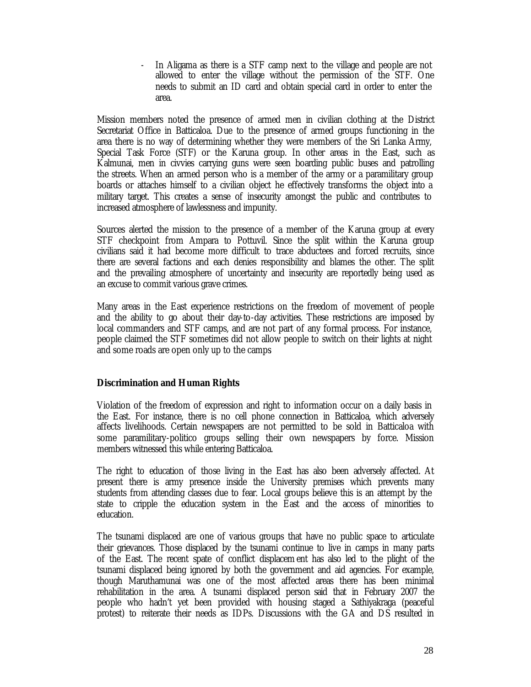- In Aligama as there is a STF camp next to the village and people are not allowed to enter the village without the permission of the STF. One needs to submit an ID card and obtain special card in order to enter the area.

Mission members noted the presence of armed men in civilian clothing at the District Secretariat Office in Batticaloa. Due to the presence of armed groups functioning in the area there is no way of determining whether they were members of the Sri Lanka Army, Special Task Force (STF) or the Karuna group. In other areas in the East, such as Kalmunai, men in civvies carrying guns were seen boarding public buses and patrolling the streets. When an armed person who is a member of the army or a paramilitary group boards or attaches himself to a civilian object he effectively transforms the object into a military target. This creates a sense of insecurity amongst the public and contributes to increased atmosphere of lawlessness and impunity.

Sources alerted the mission to the presence of a member of the Karuna group at every STF checkpoint from Ampara to Pottuvil. Since the split within the Karuna group civilians said it had become more difficult to trace abductees and forced recruits, since there are several factions and each denies responsibility and blames the other. The split and the prevailing atmosphere of uncertainty and insecurity are reportedly being used as an excuse to commit various grave crimes.

Many areas in the East experience restrictions on the freedom of movement of people and the ability to go about their day-to-day activities. These restrictions are imposed by local commanders and STF camps, and are not part of any formal process. For instance, people claimed the STF sometimes did not allow people to switch on their lights at night and some roads are open only up to the camps.

## **Discrimination and Human Rights**

Violation of the freedom of expression and right to information occur on a daily basis in the East. For instance, there is no cell phone connection in Batticaloa, which adversely affects livelihoods. Certain newspapers are not permitted to be sold in Batticaloa with some paramilitary-politico groups selling their own newspapers by force. Mission members witnessed this while entering Batticaloa.

The right to education of those living in the East has also been adversely affected. At present there is army presence inside the University premises which prevents many students from attending classes due to fear. Local groups believe this is an attempt by the state to cripple the education system in the East and the access of minorities to education.

The tsunami displaced are one of various groups that have no public space to articulate their grievances. Those displaced by the tsunami continue to live in camps in many parts of the East. The recent spate of conflict displacem ent has also led to the plight of the tsunami displaced being ignored by both the government and aid agencies. For example, though Maruthamunai was one of the most affected areas there has been minimal rehabilitation in the area. A tsunami displaced person said that in February 2007 the people who hadn't yet been provided with housing staged a Sathiyakraga (peaceful protest) to reiterate their needs as IDPs. Discussions with the GA and DS resulted in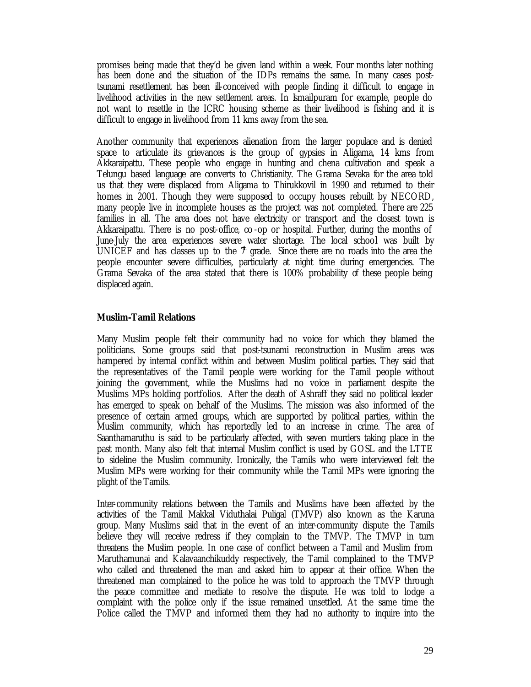promises being made that they'd be given land within a week. Four months later nothing has been done and the situation of the IDPs remains the same. In many cases posttsunami resettlement has been ill-conceived with people finding it difficult to engage in livelihood activities in the new settlement areas. In Ismailpuram for example, people do not want to resettle in the ICRC housing scheme as their livelihood is fishing and it is difficult to engage in livelihood from 11 kms away from the sea.

Another community that experiences alienation from the larger populace and is denied space to articulate its grievances is the group of gypsies in Aligama, 14 kms from Akkaraipattu. These people who engage in hunting and chena cultivation and speak a Telungu based language are converts to Christianity. The Grama Sevaka for the area told us that they were displaced from Aligama to Thirukkovil in 1990 and returned to their homes in 2001. Though they were supposed to occupy houses rebuilt by NECORD, many people live in incomplete houses as the project was not completed. There are 225 families in all. The area does not have electricity or transport and the closest town is Akkaraipattu. There is no post-office, co -op or hospital. Further, during the months of June-July the area experiences severe water shortage. The local school was built by UNICEF and has classes up to the  $\ddot{\tau}$  grade. Since there are no roads into the area the people encounter severe difficulties, particularly at night time during emergencies. The Grama Sevaka of the area stated that there is 100% probability of these people being displaced again.

## **Muslim-Tamil Relations**

Many Muslim people felt their community had no voice for which they blamed the politicians. Some groups said that post-tsunami reconstruction in Muslim areas was hampered by internal conflict within and between Muslim political parties. They said that the representatives of the Tamil people were working for the Tamil people without joining the government, while the Muslims had no voice in parliament despite the Muslims MPs holding portfolios. After the death of Ashraff they said no political leader has emerged to speak on behalf of the Muslims. The mission was also informed of the presence of certain armed groups, which are supported by political parties, within the Muslim community, which has reportedly led to an increase in crime. The area of Saanthamaruthu is said to be particularly affected, with seven murders taking place in the past month. Many also felt that internal Muslim conflict is used by GOSL and the LTTE to sideline the Muslim community. Ironically, the Tamils who were interviewed felt the Muslim MPs were working for their community while the Tamil MPs were ignoring the plight of the Tamils.

Inter-community relations between the Tamils and Muslims have been affected by the activities of the Tamil Makkal Viduthalai Puligal (TMVP) also known as the Karuna group. Many Muslims said that in the event of an inter-community dispute the Tamils believe they will receive redress if they complain to the TMVP. The TMVP in turn threatens the Muslim people. In one case of conflict between a Tamil and Muslim from Maruthamunai and Kalavaanchikuddy respectively, the Tamil complained to the TMVP who called and threatened the man and asked him to appear at their office. When the threatened man complained to the police he was told to approach the TMVP through the peace committee and mediate to resolve the dispute. He was told to lodge a complaint with the police only if the issue remained unsettled. At the same time the Police called the TMVP and informed them they had no authority to inquire into the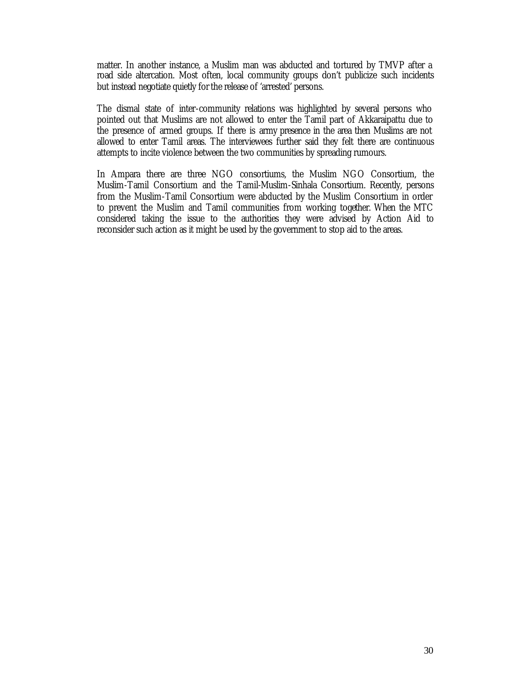matter. In another instance, a Muslim man was abducted and tortured by TMVP after a road side altercation. Most often, local community groups don't publicize such incidents but instead negotiate quietly for the release of 'arrested' persons.

The dismal state of inter-community relations was highlighted by several persons who pointed out that Muslims are not allowed to enter the Tamil part of Akkaraipattu due to the presence of armed groups. If there is army presence in the area then Muslims are not allowed to enter Tamil areas. The interviewees further said they felt there are continuous attempts to incite violence between the two communities by spreading rumours.

In Ampara there are three NGO consortiums, the Muslim NGO Consortium, the Muslim-Tamil Consortium and the Tamil-Muslim-Sinhala Consortium. Recently, persons from the Muslim-Tamil Consortium were abducted by the Muslim Consortium in order to prevent the Muslim and Tamil communities from working together. When the MTC considered taking the issue to the authorities they were advised by Action Aid to reconsider such action as it might be used by the government to stop aid to the areas.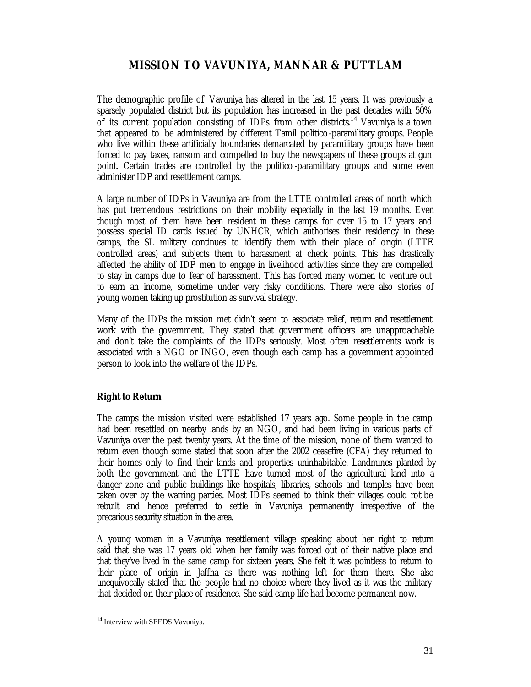# **MISSION TO VAVUNIYA, MANNAR & PUTTLAM**

The demographic profile of Vavuniya has altered in the last 15 years. It was previously a sparsely populated district but its population has increased in the past decades with 50% of its current population consisting of IDPs from other districts**.** <sup>14</sup> Vavuniya is a town that appeared to be administered by different Tamil politico-paramilitary groups. People who live within these artificially boundaries demarcated by paramilitary groups have been forced to pay taxes, ransom and compelled to buy the newspapers of these groups at gun point. Certain trades are controlled by the politico -paramilitary groups and some even administer IDP and resettlement camps.

A large number of IDPs in Vavuniya are from the LTTE controlled areas of north which has put tremendous restrictions on their mobility especially in the last 19 months. Even though most of them have been resident in these camps for over 15 to 17 years and possess special ID cards issued by UNHCR, which authorises their residency in these camps, the SL military continues to identify them with their place of origin (LTTE controlled areas) and subjects them to harassment at check points. This has drastically affected the ability of IDP men to engage in livelihood activities since they are compelled to stay in camps due to fear of harassment. This has forced many women to venture out to earn an income, sometime under very risky conditions. There were also stories of young women taking up prostitution as survival strategy.

Many of the IDPs the mission met didn't seem to associate relief, return and resettlement work with the government. They stated that government officers are unapproachable and don't take the complaints of the IDPs seriously. Most often resettlements work is associated with a NGO or INGO, even though each camp has a government appointed person to look into the welfare of the IDPs.

# **Right to Return**

The camps the mission visited were established 17 years ago. Some people in the camp had been resettled on nearby lands by an NGO, and had been living in various parts of Vavuniya over the past twenty years. At the time of the mission, none of them wanted to return even though some stated that soon after the 2002 ceasefire (CFA) they returned to their homes only to find their lands and properties uninhabitable. Landmines planted by both the government and the LTTE have turned most of the agricultural land into a danger zone and public buildings like hospitals, libraries, schools and temples have been taken over by the warring parties. Most IDPs seemed to think their villages could not be rebuilt and hence preferred to settle in Vavuniya permanently irrespective of the precarious security situation in the area.

A young woman in a Vavuniya resettlement village speaking about her right to return said that she was 17 years old when her family was forced out of their native place and that they've lived in the same camp for sixteen years. She felt it was pointless to return to their place of origin in Jaffna as there was nothing left for them there. She also unequivocally stated that the people had no choice where they lived as it was the military that decided on their place of residence. She said camp life had become permanent now.

<sup>&</sup>lt;sup>14</sup> Interview with SEEDS Vavuniya.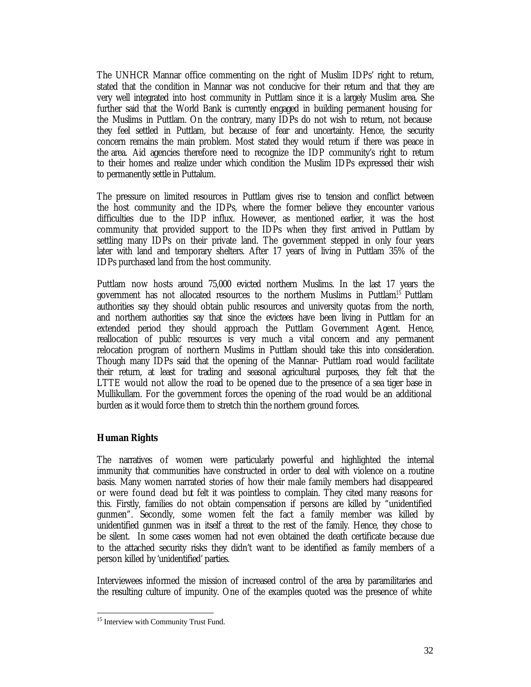The UNHCR Mannar office commenting on the right of Muslim IDPs' right to return, stated that the condition in Mannar was not conducive for their return and that they are very well integrated into host community in Puttlam since it is a largely Muslim area. She further said that the World Bank is currently engaged in building permanent housing for the Muslims in Puttlam. On the contrary, many IDPs do not wish to return, not because they feel settled in Puttlam, but because of fear and uncertainty. Hence, the security concern remains the main problem. Most stated they would return if there was peace in the area. Aid agencies therefore need to recognize the IDP community's right to return to their homes and realize under which condition the Muslim IDPs expressed their wish to permanently settle in Puttalum.

The pressure on limited resources in Puttlam gives rise to tension and conflict between the host community and the IDPs, where the former believe they encounter various difficulties due to the IDP influx. However, as mentioned earlier, it was the host community that provided support to the IDPs when they first arrived in Puttlam by settling many IDPs on their private land. The government stepped in only four years later with land and temporary shelters. After 17 years of living in Puttlam 35% of the IDPs purchased land from the host community.

Puttlam now hosts around 75,000 evicted northern Muslims. In the last 17 years the government has not allocated resources to the northern Muslims in Puttlam.<sup>15</sup> Puttlam authorities say they should obtain public resources and university quotas from the north, and northern authorities say that since the evictees have been living in Puttlam for an extended period they should approach the Puttlam Government Agent. Hence, reallocation of public resources is very much a vital concern and any permanent relocation program of northern Muslims in Puttlam should take this into consideration. Though many IDPs said that the opening of the Mannar- Puttlam road would facilitate their return, at least for trading and seasonal agricultural purposes, they felt that the LTTE would not allow the road to be opened due to the presence of a sea tiger base in Mullikullam. For the government forces the opening of the road would be an additional burden as it would force them to stretch thin the northern ground forces.

## **Human Rights**

 $\overline{a}$ 

The narratives of women were particularly powerful and highlighted the internal immunity that communities have constructed in order to deal with violence on a routine basis. Many women narrated stories of how their male family members had disappeared or were found dead but felt it was pointless to complain. They cited many reasons for this. Firstly, families do not obtain compensation if persons are killed by "unidentified gunmen". Secondly, some women felt the fact a family member was killed by unidentified gunmen was in itself a threat to the rest of the family. Hence, they chose to be silent. In some cases women had not even obtained the death certificate because due to the attached security risks they didn't want to be identified as family members of a person killed by 'unidentified' parties.

Interviewees informed the mission of increased control of the area by paramilitaries and the resulting culture of impunity. One of the examples quoted was the presence of white

<sup>&</sup>lt;sup>15</sup> Interview with Community Trust Fund.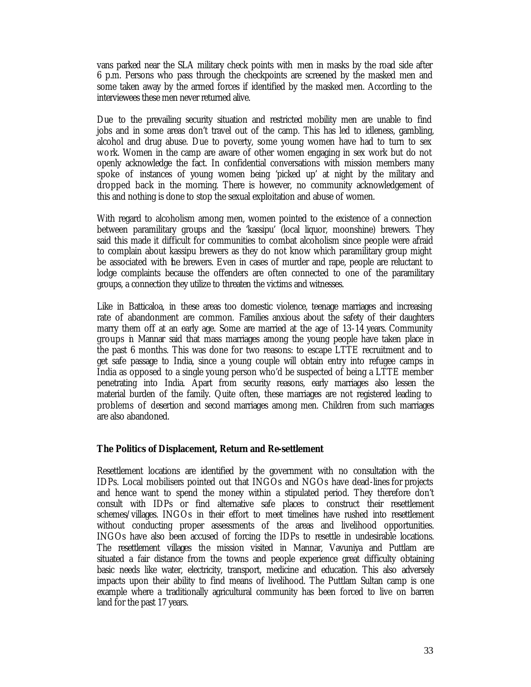vans parked near the SLA military check points with men in masks by the road side after 6 p.m. Persons who pass through the checkpoints are screened by the masked men and some taken away by the armed forces if identified by the masked men. According to the interviewees these men never returned alive.

Due to the prevailing security situation and restricted mobility men are unable to find jobs and in some areas don't travel out of the camp. This has led to idleness, gambling, alcohol and drug abuse. Due to poverty, some young women have had to turn to sex work. Women in the camp are aware of other women engaging in sex work but do not openly acknowledge the fact. In confidential conversations with mission members many spoke of instances of young women being 'picked up' at night by the military and dropped back in the morning. There is however, no community acknowledgement of this and nothing is done to stop the sexual exploitation and abuse of women.

With regard to alcoholism among men, women pointed to the existence of a connection between paramilitary groups and the 'kassipu' (local liquor, moonshine) brewers. They said this made it difficult for communities to combat alcoholism since people were afraid to complain about kassipu brewers as they do not know which paramilitary group might be associated with the brewers. Even in cases of murder and rape, people are reluctant to lodge complaints because the offenders are often connected to one of the paramilitary groups, a connection they utilize to threaten the victims and witnesses.

Like in Batticaloa, in these areas too domestic violence, teenage marriages and increasing rate of abandonment are common. Families anxious about the safety of their daughters marry them off at an early age. Some are married at the age of 13-14 years. Community groups in Mannar said that mass marriages among the young people have taken place in the past 6 months. This was done for two reasons: to escape LTTE recruitment and to get safe passage to India, since a young couple will obtain entry into refugee camps in India as opposed to a single young person who'd be suspected of being a LTTE member penetrating into India. Apart from security reasons, early marriages also lessen the material burden of the family. Quite often, these marriages are not registered leading to problems of desertion and second marriages among men. Children from such marriages are also abandoned.

#### **The Politics of Displacement, Return and Re-settlement**

Resettlement locations are identified by the government with no consultation with the IDPs. Local mobilisers pointed out that INGOs and NGOs have dead-lines for projects and hence want to spend the money within a stipulated period. They therefore don't consult with IDPs or find alternative safe places to construct their resettlement schemes/villages. INGOs in their effort to meet timelines have rushed into resettlement without conducting proper assessments of the areas and livelihood opportunities. INGOs have also been accused of forcing the IDPs to resettle in undesirable locations. The resettlement villages the mission visited in Mannar, Vavuniya and Puttlam are situated a fair distance from the towns and people experience great difficulty obtaining basic needs like water, electricity, transport, medicine and education. This also adversely impacts upon their ability to find means of livelihood. The Puttlam Sultan camp is one example where a traditionally agricultural community has been forced to live on barren land for the past 17 years.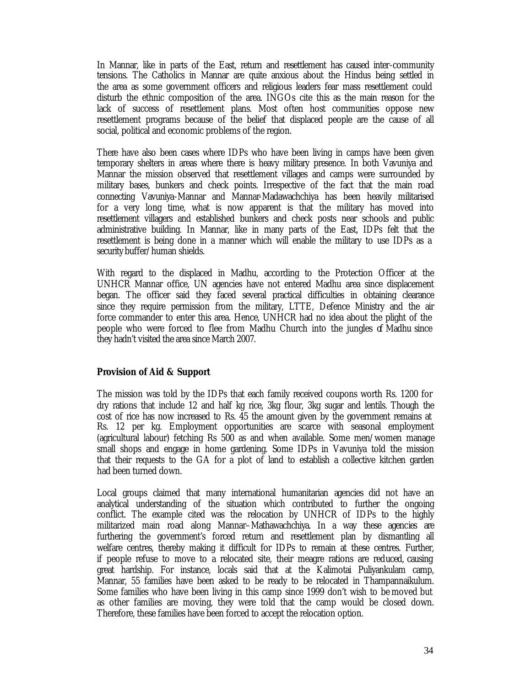In Mannar, like in parts of the East, return and resettlement has caused inter-community tensions. The Catholics in Mannar are quite anxious about the Hindus being settled in the area as some government officers and religious leaders fear mass resettlement could disturb the ethnic composition of the area. INGOs cite this as the main reason for the lack of success of resettlement plans. Most often host communities oppose new resettlement programs because of the belief that displaced people are the cause of all social, political and economic problems of the region.

There have also been cases where IDPs who have been living in camps have been given temporary shelters in areas where there is heavy military presence. In both Vavuniya and Mannar the mission observed that resettlement villages and camps were surrounded by military bases, bunkers and check points. Irrespective of the fact that the main road connecting Vavuniya-Mannar and Mannar-Madawachchiya has been heavily militarised for a very long time, what is now apparent is that the military has moved into resettlement villagers and established bunkers and check posts near schools and public administrative building. In Mannar, like in many parts of the East, IDPs felt that the resettlement is being done in a manner which will enable the military to use IDPs as a security buffer/human shields.

With regard to the displaced in Madhu, according to the Protection Officer at the UNHCR Mannar office, UN agencies have not entered Madhu area since displacement began. The officer said they faced several practical difficulties in obtaining clearance since they require permission from the military, LTTE, Defence Ministry and the air force commander to enter this area. Hence, UNHCR had no idea about the plight of the people who were forced to flee from Madhu Church into the jungles of Madhu since they hadn't visited the area since March 2007.

# **Provision of Aid & Support**

The mission was told by the IDPs that each family received coupons worth Rs. 1200 for dry rations that include 12 and half kg rice, 3kg flour, 3kg sugar and lentils. Though the cost of rice has now increased to Rs. 45 the amount given by the government remains at Rs. 12 per kg. Employment opportunities are scarce with seasonal employment (agricultural labour) fetching Rs 500 as and when available. Some men/women manage small shops and engage in home gardening. Some IDPs in Vavuniya told the mission that their requests to the GA for a plot of land to establish a collective kitchen garden had been turned down.

Local groups claimed that many international humanitarian agencies did not have an analytical understanding of the situation which contributed to further the ongoing conflict. The example cited was the relocation by UNHCR of IDPs to the highly militarized main road along Mannar–Mathawachchiya. In a way these agencies are furthering the government's forced return and resettlement plan by dismantling all welfare centres, thereby making it difficult for IDPs to remain at these centres. Further, if people refuse to move to a relocated site, their meagre rations are reduced, causing great hardship. For instance, locals said that at the Kalimotai Puliyankulam camp, Mannar, 55 families have been asked to be ready to be relocated in Thampannaikulum. Some families who have been living in this camp since 1999 don't wish to be moved but as other families are moving, they were told that the camp would be closed down. Therefore, these families have been forced to accept the relocation option.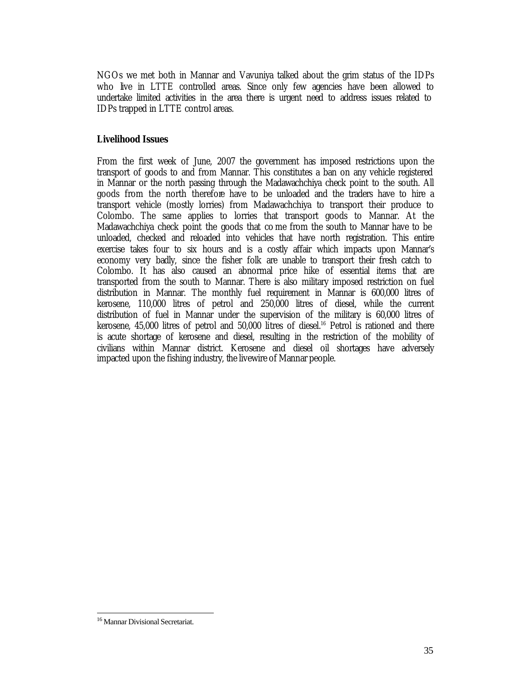NGOs we met both in Mannar and Vavuniya talked about the grim status of the IDPs who live in LTTE controlled areas. Since only few agencies have been allowed to undertake limited activities in the area there is urgent need to address issues related to IDPs trapped in LTTE control areas.

# **Livelihood Issues**

From the first week of June, 2007 the government has imposed restrictions upon the transport of goods to and from Mannar. This constitutes a ban on any vehicle registered in Mannar or the north passing through the Madawachchiya check point to the south. All goods from the north therefore have to be unloaded and the traders have to hire a transport vehicle (mostly lorries) from Madawachchiya to transport their produce to Colombo. The same applies to lorries that transport goods to Mannar. At the Madawachchiya check point the goods that co me from the south to Mannar have to be unloaded, checked and reloaded into vehicles that have north registration. This entire exercise takes four to six hours and is a costly affair which impacts upon Mannar's economy very badly, since the fisher folk are unable to transport their fresh catch to Colombo. It has also caused an abnormal price hike of essential items that are transported from the south to Mannar. There is also military imposed restriction on fuel distribution in Mannar. The monthly fuel requirement in Mannar is 600,000 litres of kerosene, 110,000 litres of petrol and 250,000 litres of diesel, while the current distribution of fuel in Mannar under the supervision of the military is 60,000 litres of kerosene,  $45,000$  litres of petrol and  $50,000$  litres of diesel.<sup>16</sup> Petrol is rationed and there is acute shortage of kerosene and diesel, resulting in the restriction of the mobility of civilians within Mannar district. Kerosene and diesel oil shortages have adversely impacted upon the fishing industry, the livewire of Mannar people.

<sup>16</sup> Mannar Divisional Secretariat.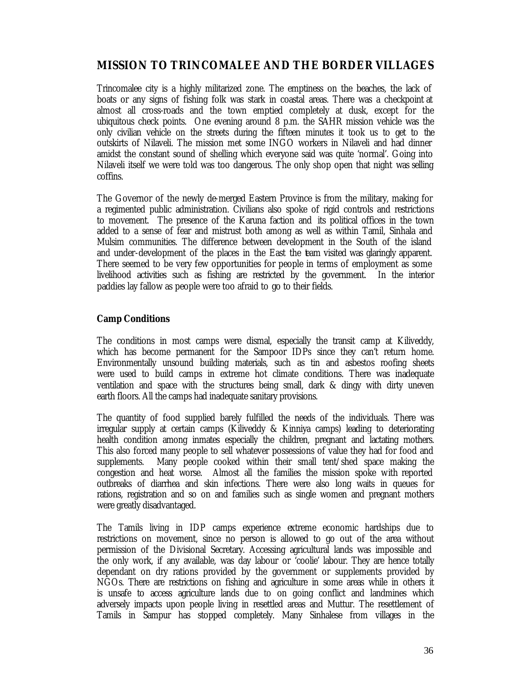# **MISSION TO TRINCOMALEE AND THE BORDER VILLAGES**

Trincomalee city is a highly militarized zone. The emptiness on the beaches, the lack of boats or any signs of fishing folk was stark in coastal areas. There was a checkpoint at almost all cross-roads and the town emptied completely at dusk, except for the ubiquitous check points. One evening around 8 p.m. the SAHR mission vehicle was the only civilian vehicle on the streets during the fifteen minutes it took us to get to the outskirts of Nilaveli. The mission met some INGO workers in Nilaveli and had dinner amidst the constant sound of shelling which everyone said was quite 'normal'. Going into Nilaveli itself we were told was too dangerous. The only shop open that night was selling coffins.

The Governor of the newly de-merged Eastern Province is from the military, making for a regimented public administration. Civilians also spoke of rigid controls and restrictions to movement. The presence of the Karuna faction and its political offices in the town added to a sense of fear and mistrust both among as well as within Tamil, Sinhala and Mulsim communities. The difference between development in the South of the island and under-development of the places in the East the team visited was glaringly apparent. There seemed to be very few opportunities for people in terms of employment as some livelihood activities such as fishing are restricted by the government. In the interior paddies lay fallow as people were too afraid to go to their fields.

# **Camp Conditions**

The conditions in most camps were dismal, especially the transit camp at Kiliveddy, which has become permanent for the Sampoor IDPs since they can't return home. Environmentally unsound building materials, such as tin and asbestos roofing sheets were used to build camps in extreme hot climate conditions. There was inadequate ventilation and space with the structures being small, dark & dingy with dirty uneven earth floors. All the camps had inadequate sanitary provisions.

The quantity of food supplied barely fulfilled the needs of the individuals. There was irregular supply at certain camps (Kiliveddy & Kinniya camps) leading to deteriorating health condition among inmates especially the children, pregnant and lactating mothers. This also forced many people to sell whatever possessions of value they had for food and supplements. Many people cooked within their small tent/shed space making the congestion and heat worse. Almost all the families the mission spoke with reported outbreaks of diarrhea and skin infections. There were also long waits in queues for rations, registration and so on and families such as single women and pregnant mothers were greatly disadvantaged.

The Tamils living in IDP camps experience extreme economic hardships due to restrictions on movement, since no person is allowed to go out of the area without permission of the Divisional Secretary. Accessing agricultural lands was impossible and the only work, if any available, was day labour or 'coolie' labour. They are hence totally dependant on dry rations provided by the government or supplements provided by NGOs. There are restrictions on fishing and agriculture in some areas while in others it is unsafe to access agriculture lands due to on going conflict and landmines which adversely impacts upon people living in resettled areas and Muttur. The resettlement of Tamils in Sampur has stopped completely. Many Sinhalese from villages in the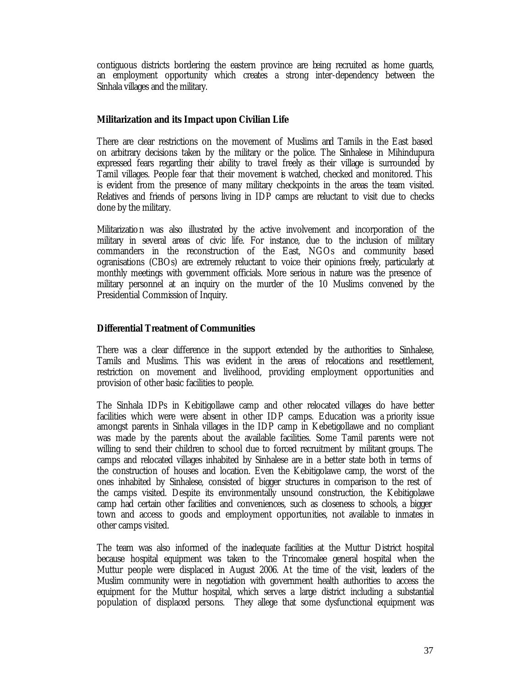contiguous districts bordering the eastern province are being recruited as home guards, an employment opportunity which creates a strong inter-dependency between the Sinhala villages and the military.

# **Militarization and its Impact upon Civilian Life**

There are clear restrictions on the movement of Muslims and Tamils in the East based on arbitrary decisions taken by the military or the police. The Sinhalese in Mihindupura expressed fears regarding their ability to travel freely as their village is surrounded by Tamil villages. People fear that their movement is watched, checked and monitored. This is evident from the presence of many military checkpoints in the areas the team visited. Relatives and friends of persons living in IDP camps are reluctant to visit due to checks done by the military.

Militarization was also illustrated by the active involvement and incorporation of the military in several areas of civic life. For instance, due to the inclusion of military commanders in the reconstruction of the East, NGOs and community based ogranisations (CBOs) are extremely reluctant to voice their opinions freely, particularly at monthly meetings with government officials. More serious in nature was the presence of military personnel at an inquiry on the murder of the 10 Muslims convened by the Presidential Commission of Inquiry.

# **Differential Treatment of Communities**

There was a clear difference in the support extended by the authorities to Sinhalese, Tamils and Muslims. This was evident in the areas of relocations and resettlement, restriction on movement and livelihood, providing employment opportunities and provision of other basic facilities to people.

The Sinhala IDPs in Kebitigollawe camp and other relocated villages do have better facilities which were were absent in other IDP camps. Education was a priority issue amongst parents in Sinhala villages in the IDP camp in Kebetigollawe and no compliant was made by the parents about the available facilities. Some Tamil parents were not willing to send their children to school due to forced recruitment by militant groups. The camps and relocated villages inhabited by Sinhalese are in a better state both in terms of the construction of houses and location. Even the Kebitigolawe camp, the worst of the ones inhabited by Sinhalese, consisted of bigger structures in comparison to the rest of the camps visited. Despite its environmentally unsound construction, the Kebitigolawe camp had certain other facilities and conveniences, such as closeness to schools, a bigger town and access to goods and employment opportunities, not available to inmates in other camps visited.

The team was also informed of the inadequate facilities at the Muttur District hospital because hospital equipment was taken to the Trincomalee general hospital when the Muttur people were displaced in August 2006. At the time of the visit, leaders of the Muslim community were in negotiation with government health authorities to access the equipment for the Muttur hospital, which serves a large district including a substantial population of displaced persons. They allege that some dysfunctional equipment was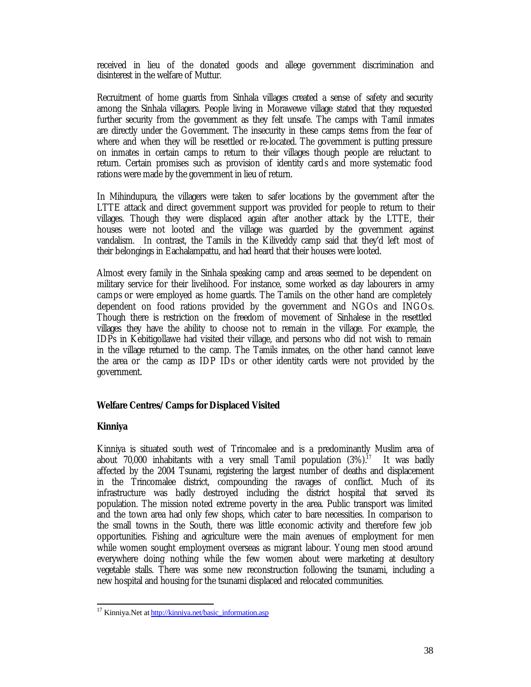received in lieu of the donated goods and allege government discrimination and disinterest in the welfare of Muttur.

Recruitment of home guards from Sinhala villages created a sense of safety and security among the Sinhala villagers. People living in Morawewe village stated that they requested further security from the government as they felt unsafe. The camps with Tamil inmates are directly under the Government. The insecurity in these camps stems from the fear of where and when they will be resettled or re-located. The government is putting pressure on inmates in certain camps to return to their villages though people are reluctant to return. Certain promises such as provision of identity cards and more systematic food rations were made by the government in lieu of return.

In Mihindupura, the villagers were taken to safer locations by the government after the LTTE attack and direct government support was provided for people to return to their villages. Though they were displaced again after another attack by the LTTE, their houses were not looted and the village was guarded by the government against vandalism. In contrast, the Tamils in the Kiliveddy camp said that they'd left most of their belongings in Eachalampattu, and had heard that their houses were looted.

Almost every family in the Sinhala speaking camp and areas seemed to be dependent on military service for their livelihood. For instance, some worked as day labourers in army camps or were employed as home guards. The Tamils on the other hand are completely dependent on food rations provided by the government and NGOs and INGOs. Though there is restriction on the freedom of movement of Sinhalese in the resettled villages they have the ability to choose not to remain in the village. For example, the IDPs in Kebitigollawe had visited their village, and persons who did not wish to remain in the village returned to the camp. The Tamils inmates, on the other hand cannot leave the area or the camp as IDP IDs or other identity cards were not provided by the government.

## **Welfare Centres/Camps for Displaced Visited**

#### **Kinniya**

 $\overline{a}$ 

Kinniya is situated south west of Trincomalee and is a predominantly Muslim area of about  $70,000$  inhabitants with a very small Tamil population  $(3\%)$ .<sup>17</sup> It was badly affected by the 2004 Tsunami, registering the largest number of deaths and displacement in the Trincomalee district, compounding the ravages of conflict. Much of its infrastructure was badly destroyed including the district hospital that served its population. The mission noted extreme poverty in the area. Public transport was limited and the town area had only few shops, which cater to bare necessities. In comparison to the small towns in the South, there was little economic activity and therefore few job opportunities. Fishing and agriculture were the main avenues of employment for men while women sought employment overseas as migrant labour. Young men stood around everywhere doing nothing while the few women about were marketing at desultory vegetable stalls. There was some new reconstruction following the tsunami, including a new hospital and housing for the tsunami displaced and relocated communities.

<sup>&</sup>lt;sup>17</sup> Kinniya.Net at http://kinniya.net/basic\_information.asp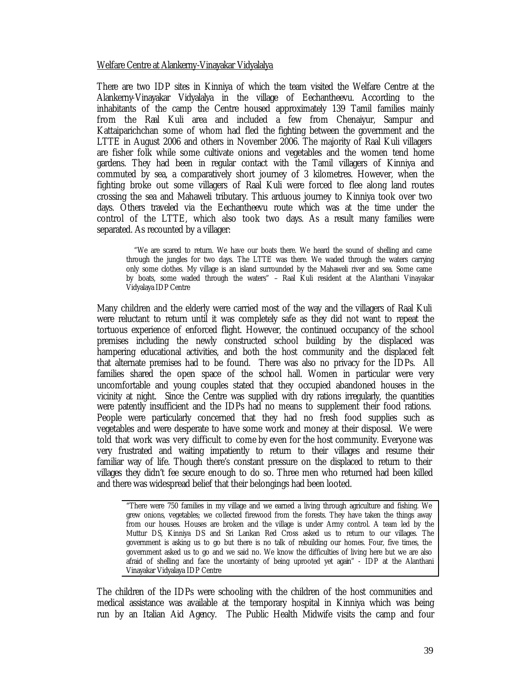#### Welfare Centre at Alankerny-Vinayakar Vidyalalya

There are two IDP sites in Kinniya of which the team visited the Welfare Centre at the Alankerny-Vinayakar Vidyalalya in the village of Eechantheevu. According to the inhabitants of the camp the Centre housed approximately 139 Tamil families mainly from the Raal Kuli area and included a few from Chenaiyur, Sampur and Kattaiparichchan some of whom had fled the fighting between the government and the LTTE in August 2006 and others in November 2006. The majority of Raal Kuli villagers are fisher folk while some cultivate onions and vegetables and the women tend home gardens. They had been in regular contact with the Tamil villagers of Kinniya and commuted by sea, a comparatively short journey of 3 kilometres. However, when the fighting broke out some villagers of Raal Kuli were forced to flee along land routes crossing the sea and Mahaweli tributary. This arduous journey to Kinniya took over two days. Others traveled via the Eechantheevu route which was at the time under the control of the LTTE, which also took two days. As a result many families were separated. As recounted by a villager:

"We are scared to return. We have our boats there. We heard the sound of shelling and came through the jungles for two days. The LTTE was there. We waded through the waters carrying only some clothes. My village is an island surrounded by the Mahaweli river and sea. Some came by boats, some waded through the waters" – Raal Kuli resident at the Alanthani Vinayakar Vidyalaya IDP Centre

Many children and the elderly were carried most of the way and the villagers of Raal Kuli were reluctant to return until it was completely safe as they did not want to repeat the tortuous experience of enforced flight. However, the continued occupancy of the school premises including the newly constructed school building by the displaced was hampering educational activities, and both the host community and the displaced felt that alternate premises had to be found. There was also no privacy for the IDPs. All families shared the open space of the school hall. Women in particular were very uncomfortable and young couples stated that they occupied abandoned houses in the vicinity at night. Since the Centre was supplied with dry rations irregularly, the quantities were patently insufficient and the IDPs had no means to supplement their food rations. People were particularly concerned that they had no fresh food supplies such as vegetables and were desperate to have some work and money at their disposal. We were told that work was very difficult to come by even for the host community. Everyone was very frustrated and waiting impatiently to return to their villages and resume their familiar way of life. Though there's constant pressure on the displaced to return to their villages they didn't fee secure enough to do so. Three men who returned had been killed and there was widespread belief that their belongings had been looted.

"There were 750 families in my village and we earned a living through agriculture and fishing. We grew onions, vegetables; we collected firewood from the forests. They have taken the things away from our houses. Houses are broken and the village is under Army control. A team led by the Muttur DS, Kinniya DS and Sri Lankan Red Cross asked us to return to our villages. The government is asking us to go but there is no talk of rebuilding our homes. Four, five times, the government asked us to go and we said no. We know the difficulties of living here but we are also afraid of shelling and face the uncertainty of being uprooted yet again" - IDP at the Alanthani Vinayakar Vidyalaya IDP Centre

The children of the IDPs were schooling with the children of the host communities and medical assistance was available at the temporary hospital in Kinniya which was being run by an Italian Aid Agency. The Public Health Midwife visits the camp and four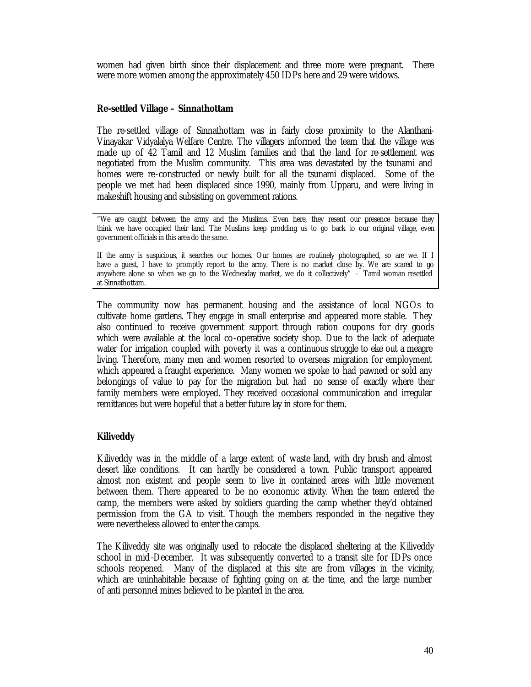women had given birth since their displacement and three more were pregnant. There were more women among the approximately 450 IDPs here and 29 were widows.

#### **Re-settled Village – Sinnathottam**

The re-settled village of Sinnathottam was in fairly close proximity to the Alanthani-Vinayakar Vidyalalya Welfare Centre. The villagers informed the team that the village was made up of 42 Tamil and 12 Muslim families and that the land for re-settlement was negotiated from the Muslim community. This area was devastated by the tsunami and homes were re-constructed or newly built for all the tsunami displaced. Some of the people we met had been displaced since 1990, mainly from Upparu, and were living in makeshift housing and subsisting on government rations.

"We are caught between the army and the Muslims. Even here, they resent our presence because they think we have occupied their land. The Muslims keep prodding us to go back to our original village, even government officials in this area do the same.

If the army is suspicious, it searches our homes. Our homes are routinely photographed, so are we. If I have a guest, I have to promptly report to the army. There is no market close by. We are scared to go anywhere alone so when we go to the Wednesday market, we do it collectively" - Tamil woman resettled at Sinnathottam.

The community now has permanent housing and the assistance of local NGOs to cultivate home gardens. They engage in small enterprise and appeared more stable. They also continued to receive government support through ration coupons for dry goods which were available at the local co-operative society shop. Due to the lack of adequate water for irrigation coupled with poverty it was a continuous struggle to eke out a meagre living. Therefore, many men and women resorted to overseas migration for employment which appeared a fraught experience. Many women we spoke to had pawned or sold any belongings of value to pay for the migration but had no sense of exactly where their family members were employed. They received occasional communication and irregular remittances but were hopeful that a better future lay in store for them.

## **Kiliveddy**

Kiliveddy was in the middle of a large extent of waste land, with dry brush and almost desert like conditions. It can hardly be considered a town. Public transport appeared almost non existent and people seem to live in contained areas with little movement between them. There appeared to be no economic activity. When the team entered the camp, the members were asked by soldiers guarding the camp whether they'd obtained permission from the GA to visit. Though the members responded in the negative they were nevertheless allowed to enter the camps.

The Kiliveddy site was originally used to relocate the displaced sheltering at the Kiliveddy school in mid-December. It was subsequently converted to a transit site for IDPs once schools reopened. Many of the displaced at this site are from villages in the vicinity, which are uninhabitable because of fighting going on at the time, and the large number of anti personnel mines believed to be planted in the area.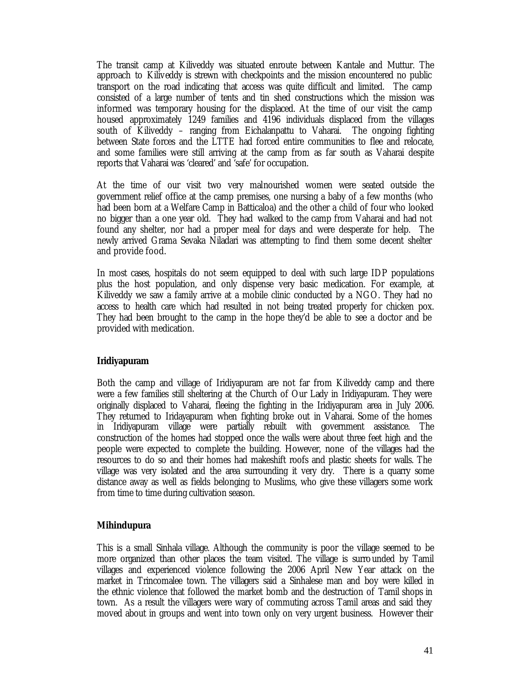The transit camp at Kiliveddy was situated enroute between Kantale and Muttur. The approach to Kiliveddy is strewn with checkpoints and the mission encountered no public transport on the road indicating that access was quite difficult and limited. The camp consisted of a large number of tents and tin shed constructions which the mission was informed was temporary housing for the displaced. At the time of our visit the camp housed approximately 1249 families and 4196 individuals displaced from the villages south of Kiliveddy – ranging from Eichalanpattu to Vaharai. The ongoing fighting between State forces and the LTTE had forced entire communities to flee and relocate, and some families were still arriving at the camp from as far south as Vaharai despite reports that Vaharai was 'cleared' and 'safe' for occupation.

At the time of our visit two very malnourished women were seated outside the government relief office at the camp premises, one nursing a baby of a few months (who had been born at a Welfare Camp in Batticaloa) and the other a child of four who looked no bigger than a one year old. They had walked to the camp from Vaharai and had not found any shelter, nor had a proper meal for days and were desperate for help. The newly arrived Grama Sevaka Niladari was attempting to find them some decent shelter and provide food.

In most cases, hospitals do not seem equipped to deal with such large IDP populations plus the host population, and only dispense very basic medication. For example, at Kiliveddy we saw a family arrive at a mobile clinic conducted by a NGO. They had no access to health care which had resulted in not being treated properly for chicken pox. They had been brought to the camp in the hope they'd be able to see a doctor and be provided with medication.

## **Iridiyapuram**

Both the camp and village of Iridiyapuram are not far from Kiliveddy camp and there were a few families still sheltering at the Church of Our Lady in Iridiyapuram. They were originally displaced to Vaharai, fleeing the fighting in the Iridiyapuram area in July 2006. They returned to Iridayapuram when fighting broke out in Vaharai. Some of the homes in Iridiyapuram village were partially rebuilt with government assistance. The construction of the homes had stopped once the walls were about three feet high and the people were expected to complete the building. However, none of the villages had the resources to do so and their homes had makeshift roofs and plastic sheets for walls. The village was very isolated and the area surrounding it very dry. There is a quarry some distance away as well as fields belonging to Muslims, who give these villagers some work from time to time during cultivation season.

## **Mihindupura**

This is a small Sinhala village. Although the community is poor the village seemed to be more organized than other places the team visited. The village is surrounded by Tamil villages and experienced violence following the 2006 April New Year attack on the market in Trincomalee town. The villagers said a Sinhalese man and boy were killed in the ethnic violence that followed the market bomb and the destruction of Tamil shops in town. As a result the villagers were wary of commuting across Tamil areas and said they moved about in groups and went into town only on very urgent business. However their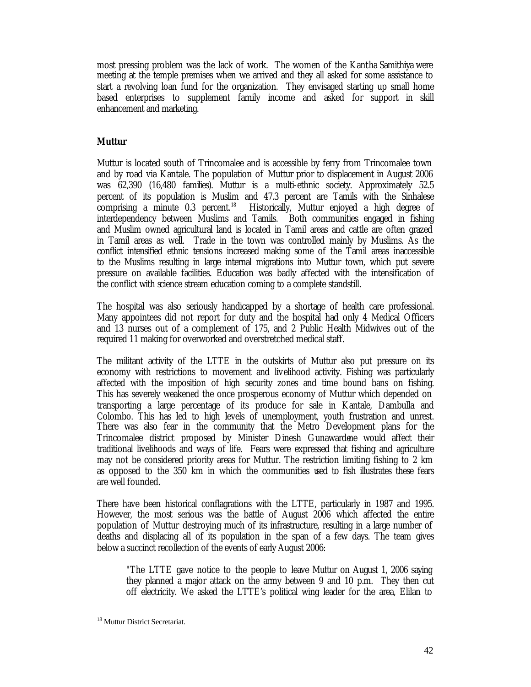most pressing problem was the lack of work. The women of the Kantha Samithiya were meeting at the temple premises when we arrived and they all asked for some assistance to start a revolving loan fund for the organization. They envisaged starting up small home based enterprises to supplement family income and asked for support in skill enhancement and marketing.

# **Muttur**

Muttur is located south of Trincomalee and is accessible by ferry from Trincomalee town and by road via Kantale. The population of Muttur prior to displacement in August 2006 was 62,390 (16,480 families). Muttur is a multi-ethnic society. Approximately 52.5 percent of its population is Muslim and 47.3 percent are Tamils with the Sinhalese comprising a minute  $0.3$  percent.<sup>18</sup> Historically, Muttur enjoyed a high degree of interdependency between Muslims and Tamils. Both communities engaged in fishing and Muslim owned agricultural land is located in Tamil areas and cattle are often grazed in Tamil areas as well. Trade in the town was controlled mainly by Muslims. As the conflict intensified ethnic tensions increased making some of the Tamil areas inaccessible to the Muslims resulting in large internal migrations into Muttur town, which put severe pressure on available facilities. Education was badly affected with the intensification of the conflict with science stream education coming to a complete standstill.

The hospital was also seriously handicapped by a shortage of health care professional. Many appointees did not report for duty and the hospital had only 4 Medical Officers and 13 nurses out of a complement of 175, and 2 Public Health Midwives out of the required 11 making for overworked and overstretched medical staff.

The militant activity of the LTTE in the outskirts of Muttur also put pressure on its economy with restrictions to movement and livelihood activity. Fishing was particularly affected with the imposition of high security zones and time bound bans on fishing. This has severely weakened the once prosperous economy of Muttur which depended on transporting a large percentage of its produce for sale in Kantale, Dambulla and Colombo. This has led to high levels of unemployment, youth frustration and unrest. There was also fear in the community that the Metro Development plans for the Trincomalee district proposed by Minister Dinesh Gunawardene would affect their traditional livelihoods and ways of life. Fears were expressed that fishing and agriculture may not be considered priority areas for Muttur. The restriction limiting fishing to 2 km as opposed to the 350 km in which the communities used to fish illustrates these fears are well founded.

There have been historical conflagrations with the LTTE, particularly in 1987 and 1995. However, the most serious was the battle of August 2006 which affected the entire population of Muttur destroying much of its infrastructure, resulting in a large number of deaths and displacing all of its population in the span of a few days. The team gives below a succinct recollection of the events of early August 2006:

"The LTTE gave notice to the people to leave Muttur on August 1, 2006 saying they planned a major attack on the army between 9 and 10 p.m. They then cut off electricity. We asked the LTTE's political wing leader for the area, Elilan to

<sup>18</sup> Muttur District Secretariat.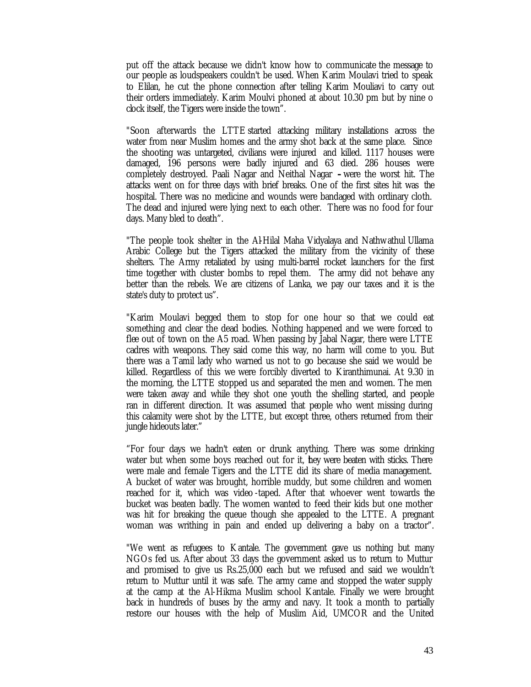put off the attack because we didn't know how to communicate the message to our people as loudspeakers couldn't be used. When Karim Moulavi tried to speak to Elilan, he cut the phone connection after telling Karim Mouliavi to carry out their orders immediately. Karim Moulvi phoned at about 10.30 pm but by nine o clock itself, the Tigers were inside the town".

"Soon afterwards the LTTE started attacking military installations across the water from near Muslim homes and the army shot back at the same place. Since the shooting was untargeted, civilians were injured and killed. 1117 houses were damaged, 196 persons were badly injured and 63 died. 286 houses were completely destroyed. Paali Nagar and Neithal Nagar **–**were the worst hit. The attacks went on for three days with brief breaks. One of the first sites hit was the hospital. There was no medicine and wounds were bandaged with ordinary cloth. The dead and injured were lying next to each other. There was no food for four days. Many bled to death".

"The people took shelter in the Al-Hilal Maha Vidyalaya and Nathwathul Ullama Arabic College but the Tigers attacked the military from the vicinity of these shelters. The Army retaliated by using multi-barrel rocket launchers for the first time together with cluster bombs to repel them. The army did not behave any better than the rebels. We are citizens of Lanka, we pay our taxes and it is the state's duty to protect us".

"Karim Moulavi begged them to stop for one hour so that we could eat something and clear the dead bodies. Nothing happened and we were forced to flee out of town on the A5 road. When passing by Jabal Nagar, there were LTTE cadres with weapons. They said come this way, no harm will come to you. But there was a Tamil lady who warned us not to go because she said we would be killed. Regardless of this we were forcibly diverted to Kiranthimunai. At 9.30 in the morning, the LTTE stopped us and separated the men and women. The men were taken away and while they shot one youth the shelling started, and people ran in different direction. It was assumed that people who went missing during this calamity were shot by the LTTE, but except three, others returned from their jungle hideouts later."

"For four days we hadn't eaten or drunk anything. There was some drinking water but when some boys reached out for it, they were beaten with sticks. There were male and female Tigers and the LTTE did its share of media management. A bucket of water was brought, horrible muddy, but some children and women reached for it, which was video -taped. After that whoever went towards the bucket was beaten badly. The women wanted to feed their kids but one mother was hit for breaking the queue though she appealed to the LTTE. A pregnant woman was writhing in pain and ended up delivering a baby on a tractor".

"We went as refugees to Kantale. The government gave us nothing but many NGOs fed us. After about 33 days the government asked us to return to Muttur and promised to give us Rs.25,000 each but we refused and said we wouldn't return to Muttur until it was safe. The army came and stopped the water supply at the camp at the Al-Hikma Muslim school Kantale. Finally we were brought back in hundreds of buses by the army and navy. It took a month to partially restore our houses with the help of Muslim Aid, UMCOR and the United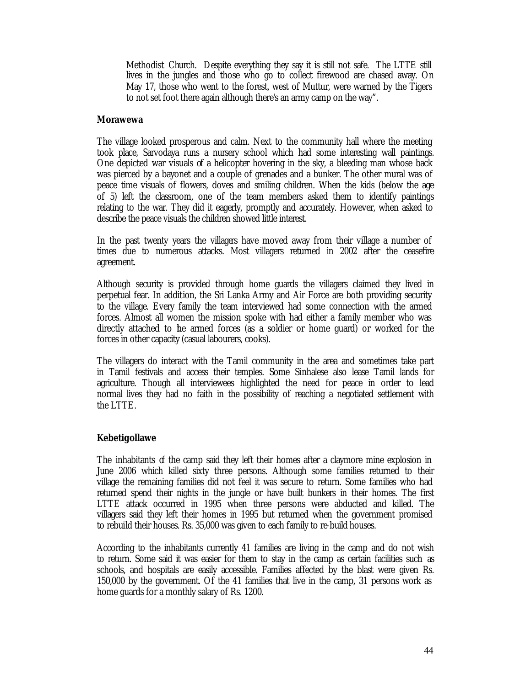Methodist Church. Despite everything they say it is still not safe. The LTTE still lives in the jungles and those who go to collect firewood are chased away. On May 17, those who went to the forest, west of Muttur, were warned by the Tigers to not set foot there again although there's an army camp on the way".

## **Morawewa**

The village looked prosperous and calm. Next to the community hall where the meeting took place, Sarvodaya runs a nursery school which had some interesting wall paintings. One depicted war visuals of a helicopter hovering in the sky, a bleeding man whose back was pierced by a bayonet and a couple of grenades and a bunker. The other mural was of peace time visuals of flowers, doves and smiling children. When the kids (below the age of 5) left the classroom, one of the team members asked them to identify paintings relating to the war. They did it eagerly, promptly and accurately. However, when asked to describe the peace visuals the children showed little interest.

In the past twenty years the villagers have moved away from their village a number of times due to numerous attacks. Most villagers returned in 2002 after the ceasefire agreement.

Although security is provided through home guards the villagers claimed they lived in perpetual fear. In addition, the Sri Lanka Army and Air Force are both providing security to the village. Every family the team interviewed had some connection with the armed forces. Almost all women the mission spoke with had either a family member who was directly attached to the armed forces (as a soldier or home guard) or worked for the forces in other capacity (casual labourers, cooks).

The villagers do interact with the Tamil community in the area and sometimes take part in Tamil festivals and access their temples. Some Sinhalese also lease Tamil lands for agriculture. Though all interviewees highlighted the need for peace in order to lead normal lives they had no faith in the possibility of reaching a negotiated settlement with the LTTE.

## **Kebetigollawe**

The inhabitants of the camp said they left their homes after a claymore mine explosion in June 2006 which killed sixty three persons. Although some families returned to their village the remaining families did not feel it was secure to return. Some families who had returned spend their nights in the jungle or have built bunkers in their homes. The first LTTE attack occurred in 1995 when three persons were abducted and killed. The villagers said they left their homes in 1995 but returned when the government promised to rebuild their houses. Rs. 35,000 was given to each family to re-build houses.

According to the inhabitants currently 41 families are living in the camp and do not wish to return. Some said it was easier for them to stay in the camp as certain facilities such as schools, and hospitals are easily accessible. Families affected by the blast were given Rs. 150,000 by the government. Of the 41 families that live in the camp, 31 persons work as home guards for a monthly salary of Rs. 1200.